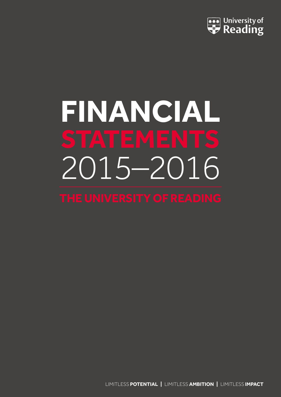

# **FINANCIAL** 2015–2016

LIMITLESS **POTENTIAL |** LIMITLESS **AMBITION |** LIMITLESS **IMPACT**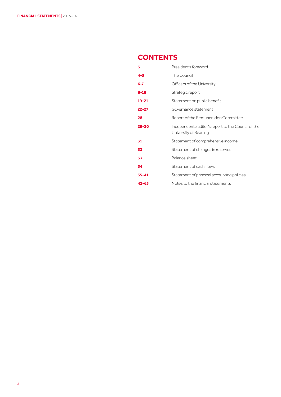## **CONTENTS**

| 3         | President's foreword                                                        |
|-----------|-----------------------------------------------------------------------------|
| $4 - 5$   | The Council                                                                 |
| $6 - 7$   | Officers of the University                                                  |
| $8 - 18$  | Strategic report                                                            |
| $19 - 21$ | Statement on public benefit                                                 |
| $22 - 27$ | Governance statement                                                        |
| 28        | Report of the Remuneration Committee                                        |
| $29 - 30$ | Independent auditor's report to the Council of the<br>University of Reading |
| 31        | Statement of comprehensive income                                           |
| 32        | Statement of changes in reserves                                            |
| 33        | Balance sheet.                                                              |
| 34        | Statement of cash flows                                                     |
| $35 - 41$ | Statement of principal accounting policies                                  |
| $42 - 63$ | Notes to the financial statements                                           |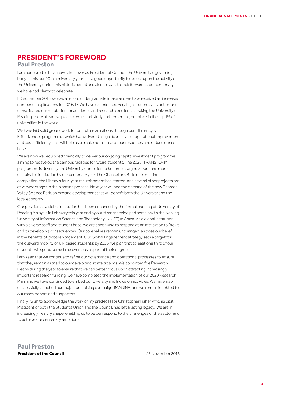#### **PRESIDENT'S FOREWORD**

#### **Paul Preston**

I am honoured to have now taken over as President of Council, the University's governing body, in this our 90th anniversary year. It is a good opportunity to reflect upon the activity of the University during this historic period and also to start to look forward to our centenary; we have had plenty to celebrate.

In September 2015 we saw a record undergraduate intake and we have received an increased number of applications for 2016/17. We have experienced very high student satisfaction and consolidated our reputation for academic and research excellence, making the University of Reading a very attractive place to work and study and cementing our place in the top 1% of universities in the world.

We have laid solid groundwork for our future ambitions through our Efficiency & Effectiveness programme, which has delivered a significant level of operational improvement and cost efficiency. This will help us to make better use of our resources and reduce our cost base.

We are now well equipped financially to deliver our ongoing capital investment programme aiming to redevelop the campus facilities for future students. The 2026: TRANSFORM programme is driven by the University's ambition to become a larger, vibrant and more sustainable institution by our centenary year. The Chancellor's Building is nearing completion; the Library's four-year refurbishment has started; and several other projects are at varying stages in the planning process. Next year will see the opening of the new Thames Valley Science Park, an exciting development that will benefit both the University and the local economy.

Our position as a global institution has been enhanced by the formal opening of University of Reading Malaysia in February this year and by our strengthening partnership with the Nanjing University of Information Science and Technology (NUIST) in China. As a global institution with a diverse staff and student base, we are continuing to respond as an institution to Brexit and its developing consequences. Our core values remain unchanged, as does our belief in the benefits of global engagement. Our Global Engagement strategy sets a target for the outward mobility of UK-based students: by 2026, we plan that at least one third of our students will spend some time overseas as part of their degree.

I am keen that we continue to refine our governance and operational processes to ensure that they remain aligned to our developing strategic aims. We appointed five Research Deans during the year to ensure that we can better focus upon attracting increasingly important research funding; we have completed the implementation of our 2020 Research Plan; and we have continued to embed our Diversity and Inclusion activities. We have also successfully launched our major fundraising campaign, IMAGINE, and we remain indebted to our many donors and supporters.

Finally I wish to acknowledge the work of my predecessor Christopher Fisher who, as past President of both the Student's Union and the Council, has left a lasting legacy. We are in increasingly healthy shape, enabling us to better respond to the challenges of the sector and to achieve our centenary ambitions.

#### **Paul Preston President of the Council**

25 November 2016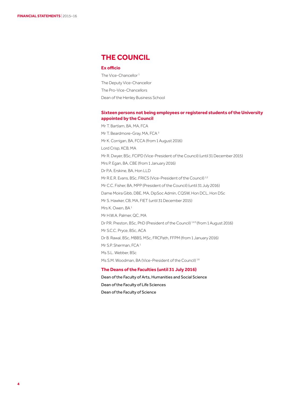#### **THE COUNCIL**

#### **Ex officio**

The Vice-Chancellor<sup>1</sup> The Deputy Vice-Chancellor The Pro-Vice-Chancellors Dean of the Henley Business School

#### **Sixteen persons not being employees or registered students of the University appointed by the Council**

Mr T. Bartlam, BA, MA, FCA Mr T. Beardmore-Gray, MA, FCA<sup>3</sup> Mr K. Corrigan, BA, FCCA (from 1 August 2016) Lord Crisp, KCB, MA Mr R. Dwyer, BSc, FCIPD (Vice-President of the Council) (until 31 December 2015) Mrs P. Egan, BA, CBE (from 1 January 2016) Dr P.A. Erskine, BA, Hon LLD Mr R.E.R. Evans, BSc, FRICS (Vice-President of the Council)<sup>1,2</sup> Mr C.C. Fisher, BA, MPP (President of the Council) (until 31 July 2016) Dame Moira Gibb, DBE, MA, DipSoc Admin, CQSW, Hon DCL, Hon DSc Mr S. Hawker, CB, MA, FIET (until 31 December 2015) Mrs K. Owen, BA<sup>1</sup> Mr H.W.A. Palmer, QC, MA Dr P.R. Preston, BSc, PhD (President of the Council)<sup>1,4,5</sup> (from 1 August 2016) Mr S.C.C. Pryce, BSc, ACA Dr B. Rawal, BSc, MBBS, MSc, FRCPath, FFPM (from 1 January 2016) Mr S.P. Sherman, FCA<sup>1</sup> Ms S.L. Webber, BSc Ms S.M. Woodman, BA (Vice-President of the Council)<sup>1,6</sup>

#### **The Deans of the Faculties (until 31 July 2016)**

Dean of the Faculty of Arts, Humanities and Social Science Dean of the Faculty of Life Sciences Dean of the Faculty of Science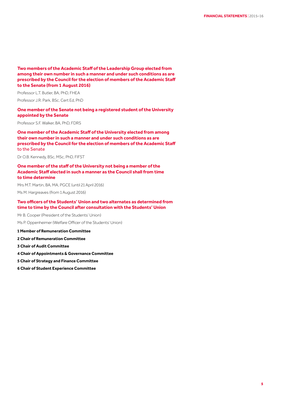**Two members of the Academic Staff of the Leadership Group elected from among their own number in such a manner and under such conditions as are prescribed by the Council for the election of members of the Academic Staff to the Senate (from 1 August 2016)**

Professor L.T. Butler, BA, PhD, FHEA

Professor J.R. Park, BSc, Cert Ed, PhD

**One member of the Senate not being a registered student of the University appointed by the Senate**

Professor S.F. Walker, BA, PhD, FDRS

**One member of the Academic Staff of the University elected from among their own number in such a manner and under such conditions as are prescribed by the Council for the election of members of the Academic Staff**  to the Senate

Dr O.B. Kennedy, BSc, MSc, PhD, FIFST

**One member of the staff of the University not being a member of the Academic Staff elected in such a manner as the Council shall from time to time determine**

Mrs M.T. Martin, BA, MA, PGCE (until 21 April 2016)

Ms M. Hargreaves (from 1 August 2016)

#### **Two officers of the Students' Union and two alternates as determined from time to time by the Council after consultation with the Students' Union**

Mr B. Cooper (President of the Students' Union)

Ms P. Oppenheimer (Welfare Officer of the Students' Union)

**1 Member of Remuneration Committee**

**2 Chair of Remuneration Committee**

**3 Chair of Audit Committee**

**4 Chair of Appointments & Governance Committee**

**5 Chair of Strategy and Finance Committee**

**6 Chair of Student Experience Committee**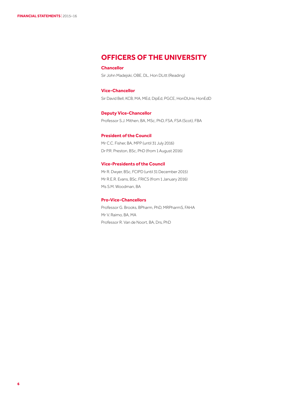#### **OFFICERS OF THE UNIVERSITY**

#### **Chancellor**

Sir John Madejski, OBE, DL, Hon DLitt (Reading)

#### **Vice-Chancellor**

Sir David Bell, KCB, MA, MEd, DipEd, PGCE, HonDUniv, HonEdD

#### **Deputy Vice-Chancellor**

Professor S.J. Mithen, BA, MSc, PhD, FSA, FSA (Scot), FBA

#### **President of the Council**

Mr C.C. Fisher, BA, MPP (until 31 July 2016) Dr P.R. Preston, BSc, PhD (from 1 August 2016)

#### **Vice-Presidents of the Council**

Mr R. Dwyer, BSc, FCIPD (until 31 December 2015) Mr R.E.R. Evans, BSc, FRICS (from 1 January 2016) Ms S.M. Woodman, BA

#### **Pro-Vice-Chancellors**

Professor G. Brooks, BPharm, PhD, MRPharmS, FAHA Mr V. Raimo, BA, MA Professor R. Van de Noort, BA, Drs, PhD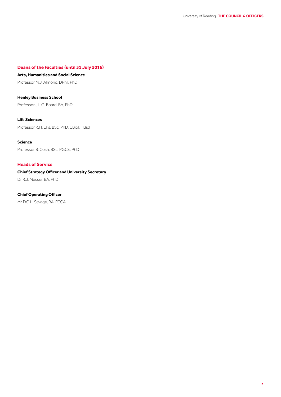#### **Deans of the Faculties (until 31 July 2016)**

#### **Arts, Humanities and Social Science**

Professor M.J. Almond, DPhil, PhD

## **Henley Business School**

Professor J.L.G. Board, BA, PhD

#### **Life Sciences**

Professor R.H. Ellis, BSc, PhD, CBiol, FIBiol

#### **Science**

Professor B. Cosh, BSc, PGCE, PhD

#### **Heads of Service**

#### **Chief Strategy Officer and University Secretary**

Dr R.J. Messer, BA, PhD

#### **Chief Operating Officer**

Mr D.C.L. Savage, BA, FCCA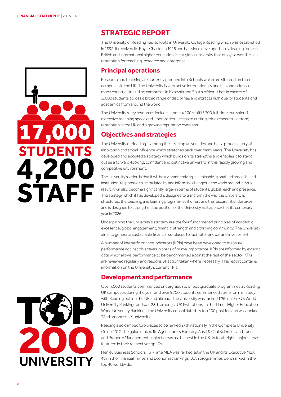

### **STRATEGIC REPORT**

The University of Reading has its roots in University College Reading which was established in 1892. It received its Royal Charter in 1926 and has since developed into a leading force in British and international higher education. It is a global university that enjoys a world-class reputation for teaching, research and enterprise.

#### **Principal operations**

Research and teaching are currently grouped into Schools which are situated on three campuses in the UK. The University is very active internationally and has operations in many countries including campuses in Malaysia and South Africa. It has in excess of 17,000 students across a broad range of disciplines and attracts high quality students and academics from around the world.

The University's key resources include almost 4,200 staff (3,300 full-time equivalent), extensive teaching space and laboratories, access to cutting edge research, a strong reputation in the UK and a growing reputation overseas.

#### **Objectives and strategies**

The University of Reading is among the UK's top universities and has a proud history of innovation and social influence which stretches back over many years. The University has developed and adopted a strategy which builds on its strengths and enables it to stand out as a forward-looking, confident and distinctive university in this rapidly growing and competitive environment.

The University's vision is that it will be a vibrant, thriving, sustainable, global and broad-based institution, responsive to, stimulated by and informing changes in the world around it. As a result, it will also become significantly larger in terms of students, global reach and presence. The strategy which it has developed is designed to transform the way the University is structured, the teaching and learning programmes it offers and the research it undertakes, and is designed to strengthen the position of the University as it approaches its centenary year in 2026.

Underpinning the University's strategy are the four fundamental principles of academic excellence, global engagement, financial strength and a thriving community. The University aims to generate sustainable financial surpluses to facilitate renewal and investment.

A number of key performance indicators (KPIs) have been developed to measure performance against objectives in areas of prime importance. KPIs are informed by external data which allows performance to be benchmarked against the rest of the sector. KPIs are reviewed regularly and responsive action taken where necessary. This report contains information on the University's current KPIs.

#### **Development and performance**

Over 7,000 students commenced undergraduate or postgraduate programmes at Reading UK campuses during the year, and over 9,700 students commenced some form of study with Reading both in the UK and abroad. The University was ranked 175th in the QS World University Rankings and was 28th amongst UK institutions. In the Times Higher Education World University Rankings, the University consolidated its top 200 position and was ranked 32nd amongst UK universities.

Reading also climbed two places to be ranked 27th nationally in the Complete University Guide 2017. The guide ranked its Agriculture & Forestry, Aural & Oral Sciences and Land and Property Management subject areas as the best in the UK. In total, eight subject areas featured in their respective top 10s.

Henley Business School's Full-Time MBA was ranked 1st in the UK and its Executive MBA UNIVERSITY 4th in the Financial Times and Economist rankings. Both programmes were ranked in the top 40 worldwide.

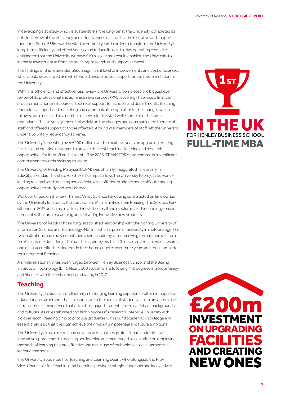In developing a strategy which is sustainable in the long-term, the University completed its detailed review of the efficiency and effectiveness of all of its administrative and support functions. Some £36m was invested over three years in order to transform the University's long-term efficiency and effectiveness and reduce its day-to-day operating costs. It is anticipated that the University will save £15m a year as a result, enabling the University to increase investment in frontline teaching, research and support services.

The findings of this review identified a significant level of improvements and cost efficiencies which could be achieved and which would ensure better support for the future ambitions of the University.

Within its efficiency and effectiveness review, the University completed the biggest ever review of its professional and administrative services (PAS) covering IT services, finance, procurement, human resources, technical support for schools and departments, teaching operations support and marketing and communication operations. The changes which followed as a result led to a number of new roles for staff while some roles became redundant. The University consulted widely on the changes and communicated them to all staff and offered support to those affected. Around 200 members of staff left the University under a voluntary redundancy scheme.

The University is investing over £200 million over the next five years on upgrading existing facilities and creating new ones to provide the best teaching, learning and research opportunities for its staff and students. The 2026: TRANSFORM programme is a significant commitment towards realising its vision.

The University of Reading Malaysia (UoRM) was officially inaugurated in February in EduCity, Iskandar. This state-of-the-art campus allows the University to project its worldleading research and teaching across Asia, while offering students and staff outstanding opportunities to study and work abroad.

Work continued on the new Thames Valley Science Park being constructed on land owned by the University located to the south of the M4 in Shinfield near Reading. The Science Park will open in 2017 and aims to attract innovative small and medium-sized technology-based companies that are researching and delivering innovative new products.

The University of Reading has a long-established relationship with the Nanjing University of Information Science and Technology (NUIST), China's premier university in meteorology. The two institutions have now established a joint academy, after receiving formal approval from the Ministry of Education of China. The academy enables Chinese students to work towards one of six accredited UK degrees in their home country over three years and then complete their degree at Reading.

A similar relationship has been forged between Henley Business School and the Beijing Institute of Technology (BIT). Nearly 500 students are following 4+0 degrees in accountancy and finance, with the first cohort graduating in 2017.

#### **Teaching**

The University provides an intellectually challenging learning experience within a supportive educational environment that is responsive to the needs of students. It also provides a rich extra-curricular experience that attracts engaged students from a variety of backgrounds and cultures. As an established and highly successful research-intensive university with a global reach, Reading aims to produce graduates with sound academic knowledge and essential skills so that they can achieve their maximum potential and future ambitions.

The University aims to recruit and develop well-qualified professional academic staff. Innovative approaches to teaching and learning are encouraged to capitalise on employing methods of learning that are effective and make use of technological developments in learning methods.

The University appointed five Teaching and Learning Deans who, alongside the Pro-Vice-Chancellor for Teaching and Learning, provide strategic leadership and lead activity



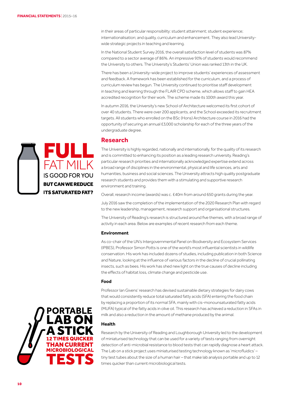in their areas of particular responsibility: student attainment; student experience; internationalisation; and quality, curriculum and enhancement. They also lead Universitywide strategic projects in teaching and learning.

In the National Student Survey 2016, the overall satisfaction level of students was 87% compared to a sector average of 86%. An impressive 91% of students would recommend the University to others. The University's Students' Union was ranked 13th in the UK.

There has been a University-wide project to improve students' experiences of assessment and feedback. A framework has been established for the curriculum, and a process of curriculum review has begun. The University continued to prioritise staff development in teaching and learning through the FLAIR CPD scheme, which allows staff to gain HEA accredited recognition for their work. The scheme made its 100th award this year.

In autumn 2016, the University's new School of Architecture welcomed its first cohort of over 40 students. There were over 200 applicants, and the School exceeded its recruitment targets. All students who enrolled on the BSc (Hons) Architecture course in 2016 had the opportunity of securing an annual £3,000 scholarship for each of the three years of the undergraduate degree.

#### **Research**

The University is highly regarded, nationally and internationally, for the quality of its research and is committed to enhancing its position as a leading research university. Reading's particular research priorities and internationally acknowledged expertise extend across a broad range of disciplines in the environmental, physical and life sciences, arts and humanities, business and social sciences. The University attracts high quality postgraduate research students and provides them with a stimulating and supportive research environment and training.

Overall, research income (awards) was c. £40m from around 650 grants during the year.

July 2016 saw the completion of the implementation of the 2020 Research Plan with regard to the new leadership, management, research support and organisational structures.

The University of Reading's research is structured around five themes, with a broad range of activity in each area. Below are examples of recent research from each theme.

#### **Environment**

As co-chair of the UN's Intergovernmental Panel on Biodiversity and Ecosystem Services (IPBES), Professor Simon Potts is one of the world's most influential scientists in wildlife conservation. His work has included dozens of studies, including publication in both Science and Nature, looking at the influence of various factors in the decline of crucial pollinating insects, such as bees. His work has shed new light on the true causes of decline including the effects of habitat loss, climate change and pesticide use.

#### **Food**

Professor Ian Givens' research has devised sustainable dietary strategies for dairy cows that would consistently reduce total saturated fatty acids (SFA) entering the food chain by replacing a proportion of its normal SFA, mainly with cis-monounsaturated fatty acids (MUFA) typical of the fatty acids in olive oil. This research has achieved a reduction in SFAs in milk and also a reduction in the amount of methane produced by the animal.

#### **Health**

Research by the University of Reading and Loughborough University led to the development of miniaturised technology that can be used for a variety of tests ranging from overnight detection of anti-microbial resistance to blood tests that can rapidly diagnose a heart attack. The Lab on a stick project uses miniaturised testing technology known as 'microfluidics' – tiny test tubes about the size of a human hair – that make lab analysis portable and up to 12 times quicker than current microbiological tests.



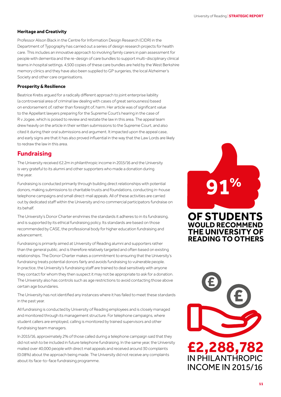#### **Heritage and Creativity**

Professor Alison Black in the Centre for Information Design Research (CIDR) in the Department of Typography has carried out a series of design research projects for health care. This includes an innovative approach to involving family carers in pain assessment for people with dementia and the re-design of care bundles to support multi-disciplinary clinical teams in hospital settings. 4,500 copies of these care bundles are held by the West Berkshire memory clinics and they have also been supplied to GP surgeries, the local Alzheimer's Society and other care organisations.

#### **Prosperity & Resilience**

Beatrice Krebs argued for a radically different approach to joint enterprise liability (a controversial area of criminal law dealing with cases of great seriousness) based on endorsement of, rather than foresight of, harm. Her article was of significant value to the Appellant lawyers preparing for the Supreme Court's hearing in the case of R v Jogee, which is poised to review and restate the law in this area. The appeal team drew heavily on the article in their written submissions to the Supreme Court, and also cited it during their oral submissions and argument. It impacted upon the appeal case, and early signs are that it has also proved influential in the way that the Law Lords are likely to redraw the law in this area.

#### **Fundraising**

The University received £2.2m in philanthropic income in 2015/16 and the University is very grateful to its alumni and other supporters who made a donation during the year.

Fundraising is conducted primarily through building direct relationships with potential donors, making submissions to charitable trusts and foundations, conducting in-house telephone campaigns and small direct-mail appeals. All of these activities are carried out by dedicated staff within the University and no commercial participators fundraise on its behalf.

The University's Donor Charter enshrines the standards it adheres to in its fundraising, and is supported by its ethical fundraising policy. Its standards are based on those recommended by CASE, the professional body for higher education fundraising and advancement.

Fundraising is primarily aimed at University of Reading alumni and supporters rather than the general public, and is therefore relatively targeted and often based on existing relationships. The Donor Charter makes a commitment to ensuring that the University's fundraising treats potential donors fairly and avoids fundraising to vulnerable people. In practice, the University's fundraising staff are trained to deal sensitively with anyone they contact for whom they then suspect it may not be appropriate to ask for a donation. The University also has controls such as age restrictions to avoid contacting those above certain age boundaries.

The University has not identified any instances where it has failed to meet these standards in the past year.

All fundraising is conducted by University of Reading employees and is closely managed and monitored through its management structure. For telephone campaigns, where student callers are employed, calling is monitored by trained supervisors and other fundraising team managers.

In 2015/16, approximately 2% of those called during a telephone campaign said that they did not wish to be included in future telephone fundraising. In the same year, the University mailed over 40,000 people with direct mail appeals and received around 30 complaints (0.08%) about the approach being made. The University did not receive any complaints about its face-to-face fundraising programme.

# **OF STUDENTS WOULD RECOMMEND THE UNIVERSITY OF 91%**

# **READING TO OTHERS**

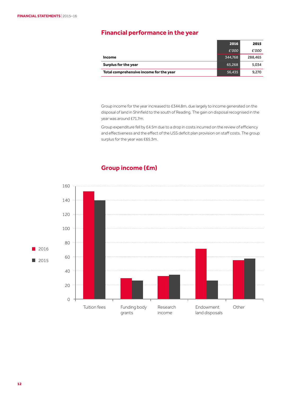#### **Financial performance in the year**

|                                         | 2016    | 2015    |
|-----------------------------------------|---------|---------|
|                                         | £'000   | £'000   |
| <b>Income</b>                           | 344,768 | 288,465 |
| Surplus for the year                    | 65,268  | 5,034   |
| Total comprehensive income for the year | 56,435  | 9.270   |

Group income for the year increased to £344.8m, due largely to income generated on the disposal of land in Shinfield to the south of Reading. The gain on disposal recognised in the year was around £71.7m.

Group expenditure fell by £4.5m due to a drop in costs incurred on the review of efficiency and effectiveness and the effect of the USS deficit plan provision on staff costs. The group surplus for the year was £65.3m.

#### **Group income (£m)**

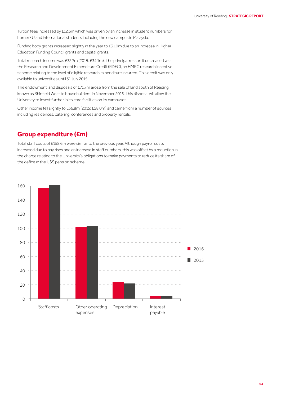Tuition fees increased by £12.6m which was driven by an increase in student numbers for home/EU and international students including the new campus in Malaysia.

Funding body grants increased slightly in the year to £31.0m due to an increase in Higher Education Funding Council grants and capital grants.

Total research income was £32.7m (2015: £34.1m). The principal reason it decreased was the Research and Development Expenditure Credit (RDEC), an HMRC research incentive scheme relating to the level of eligible research expenditure incurred. This credit was only available to universities until 31 July 2015.

The endowment land disposals of £71.7m arose from the sale of land south of Reading known as Shinfield West to housebuilders in November 2015. This disposal will allow the University to invest further in its core facilities on its campuses.

Other income fell slightly to £56.8m (2015: £58.0m) and came from a number of sources including residences, catering, conferences and property rentals.

#### **Group expenditure (£m)**

Total staff costs of £158.6m were similar to the previous year. Although payroll costs increased due to pay rises and an increase in staff numbers, this was offset by a reduction in the charge relating to the University's obligations to make payments to reduce its share of the deficit in the USS pension scheme.

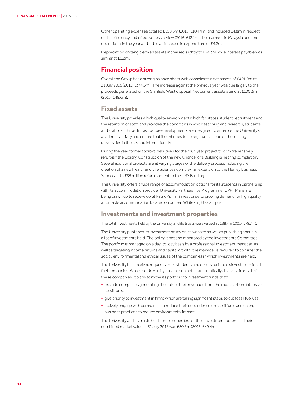Other operating expenses totalled £100.6m (2015: £104.4m) and included £4.8m in respect of the efficiency and effectiveness review (2015: £12.1m). The campus in Malaysia became operational in the year and led to an increase in expenditure of £4.2m.

Depreciation on tangible fixed assets increased slightly to £24.3m while interest payable was similar at £5.2m.

#### **Financial position**

Overall the Group has a strong balance sheet with consolidated net assets of £401.0m at 31 July 2016 (2015: £344.6m). The increase against the previous year was due largely to the proceeds generated on the Shinfield West disposal. Net current assets stand at £100.3m (2015: £48.6m).

#### **Fixed assets**

The University provides a high quality environment which facilitates student recruitment and the retention of staff, and provides the conditions in which teaching and research, students and staff, can thrive. Infrastructure developments are designed to enhance the University's academic activity and ensure that it continues to be regarded as one of the leading universities in the UK and internationally.

During the year formal approval was given for the four-year project to comprehensively refurbish the Library. Construction of the new Chancellor's Building is nearing completion. Several additional projects are at varying stages of the delivery process including the creation of a new Health and Life Sciences complex, an extension to the Henley Business School and a £35 million refurbishment to the URS Building.

The University offers a wide range of accommodation options for its students in partnership with its accommodation provider University Partnerships Programme (UPP). Plans are being drawn up to redevelop St Patrick's Hall in response to growing demand for high quality, affordable accommodation located on or near Whiteknights campus.

#### **Investments and investment properties**

The total investments held by the University and its trusts were valued at £88.4m (2015: £79.7m).

The University publishes its investment policy on its website as well as publishing annually a list of investments held. The policy is set and monitored by the Investments Committee. The portfolio is managed on a day-to-day basis by a professional investment manager. As well as targeting income returns and capital growth, the manager is required to consider the social, environmental and ethical issues of the companies in which investments are held.

The University has received requests from students and others for it to disinvest from fossil fuel companies. While the University has chosen not to automatically disinvest from all of these companies, it plans to move its portfolio to investment funds that:

- **•** exclude companies generating the bulk of their revenues from the most carbon-intensive fossil fuels,
- **•** give priority to investment in firms which are taking significant steps to cut fossil fuel use,
- **•** actively engage with companies to reduce their dependence on fossil fuels and change business practices to reduce environmental impact.

The University and its trusts hold some properties for their investment potential. Their combined market value at 31 July 2016 was £50.6m (2015: £49.4m).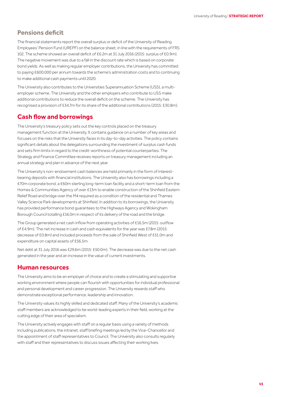#### **Pensions deficit**

The financial statements report the overall surplus or deficit of the University of Reading Employees' Pension Fund (UREPF) on the balance sheet, in line with the requirements of FRS 102. The scheme showed an overall deficit of £6.2m at 31 July 2016 (2015: surplus of £0.9m). The negative movement was due to a fall in the discount rate which is based on corporate bond yields. As well as making regular employer contributions, the University has committed to paying £600,000 per annum towards the scheme's administration costs and to continuing to make additional cash payments until 2020.

The University also contributes to the Universities Superannuation Scheme (USS), a multiemployer scheme. The University and the other employers who contribute to USS make additional contributions to reduce the overall deficit on the scheme. The University has recognised a provision of £34.7m for its share of the additional contributions (2015: £30.8m).

#### **Cash flow and borrowings**

The University's treasury policy sets out the key controls placed on the treasury management function at the University. It contains guidance on a number of key areas and focuses on the risks that the University faces in its day-to-day activities. The policy contains significant details about the delegations surrounding the investment of surplus cash funds and sets firm limits in regard to the credit-worthiness of potential counterparties. The Strategy and Finance Committee receives reports on treasury management including an annual strategy and plan in advance of the next year.

The University's non-endowment cash balances are held primarily in the form of interestbearing deposits with financial institutions. The University also has borrowings including a £70m corporate bond, a £60m sterling long-term loan facility and a short-term loan from the Homes & Communities Agency of over £13m to enable construction of the Shinfield Eastern Relief Road and bridge over the M4 required as a condition of the residential and Thames Valley Science Park developments at Shinfield. In addition to its borrowings, the University has provided performance bond guarantees to the Highways Agency and Wokingham Borough Council totalling £16.0m in respect of its delivery of the road and the bridge.

The Group generated a net cash inflow from operating activities of £16.5m (2015: outflow of £4.9m). The net increase in cash and cash equivalents for the year was £7.8m (2015: decrease of £0.8m) and included proceeds from the sale of Shinfield West of £51.0m and expenditure on capital assets of £56.5m.

Net debt at 31 July 2016 was £29.6m (2015: £50.0m). The decrease was due to the net cash generated in the year and an increase in the value of current investments.

#### **Human resources**

The University aims to be an employer of choice and to create a stimulating and supportive working environment where people can flourish with opportunities for individual professional and personal development and career progression. The University rewards staff who demonstrate exceptional performance, leadership and innovation.

The University values its highly skilled and dedicated staff. Many of the University's academic staff members are acknowledged to be world-leading experts in their field, working at the cutting edge of their area of specialism.

The University actively engages with staff on a regular basis using a variety of methods including publications, the intranet, staff briefing meetings led by the Vice-Chancellor and the appointment of staff representatives to Council. The University also consults regularly with staff and their representatives to discuss issues affecting their working lives.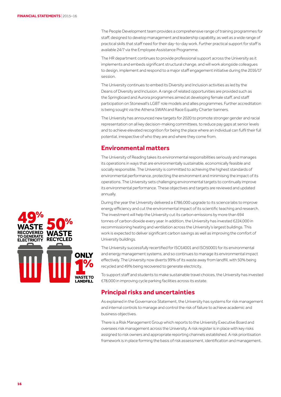The People Development team provides a comprehensive range of training programmes for staff, designed to develop management and leadership capability, as well as a wide range of practical skills that staff need for their day-to-day work. Further practical support for staff is available 24/7 via the Employee Assistance Programme.

The HR department continues to provide professional support across the University as it implements and embeds significant structural change, and will work alongside colleagues to design, implement and respond to a major staff engagement initiative during the 2016/17 session.

The University continues to embed its Diversity and Inclusion activities as led by the Deans of Diversity and Inclusion. A range of related opportunities are provided such as the Springboard and Aurora programmes aimed at developing female staff, and staff participation on Stonewall's LGBT role models and allies programmes. Further accreditation is being sought via the Athena SWAN and Race Equality Charter banners.

The University has announced new targets for 2020 to promote stronger gender and racial representation on all key decision-making committees, to reduce pay gaps at senior levels and to achieve elevated recognition for being the place where an individual can fulfil their full potential, irrespective of who they are and where they come from.

#### **Environmental matters**

The University of Reading takes its environmental responsibilities seriously and manages its operations in ways that are environmentally sustainable, economically feasible and socially responsible. The University is committed to achieving the highest standards of environmental performance, protecting the environment and minimising the impact of its operations. The University sets challenging environmental targets to continually improve its environmental performance. These objectives and targets are reviewed and updated annually.

During the year the University delivered a £786,000 upgrade to its science labs to improve energy efficiency and cut the environmental impact of its scientific teaching and research. The investment will help the University cut its carbon emissions by more than 694 tonnes of carbon dioxide every year. In addition, the University has invested £224,000 in recommissioning heating and ventilation across the University's largest buildings. This work is expected to deliver significant carbon savings as well as improving the comfort of University buildings.

The University successfully recertified for ISO14001 and ISO50001 for its environmental and energy management systems, and so continues to manage its environmental impact effectively. The University now diverts 99% of its waste away from landfill, with 50% being recycled and 49% being recovered to generate electricity.

To support staff and students to make sustainable travel choices, the University has invested £78,000 in improving cycle parking facilities across its estate.

#### **Principal risks and uncertainties**

As explained in the Governance Statement, the University has systems for risk management and internal controls to manage and control the risk of failure to achieve academic and business objectives.

There is a Risk Management Group which reports to the University Executive Board and oversees risk management across the University. A risk register is in place with key risks assigned to risk owners and appropriate reporting channels established. A risk prioritisation framework is in place forming the basis of risk assessment, identification and management.

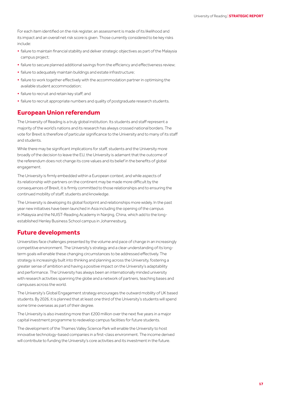For each item identified on the risk register, an assessment is made of its likelihood and its impact and an overall net risk score is given. Those currently considered to be key risks include:

- **•** failure to maintain financial stability and deliver strategic objectives as part of the Malaysia campus project;
- **•** failure to secure planned additional savings from the efficiency and effectiveness review;
- **•** failure to adequately maintain buildings and estate infrastructure;
- **•** failure to work together effectively with the accommodation partner in optimising the available student accommodation;
- **•** failure to recruit and retain key staff; and
- **•** failure to recruit appropriate numbers and quality of postgraduate research students.

#### **European Union referendum**

The University of Reading is a truly global institution. Its students and staff represent a majority of the world's nations and its research has always crossed national borders. The vote for Brexit is therefore of particular significance to the University and to many of its staff and students.

While there may be significant implications for staff, students and the University more broadly of the decision to leave the EU, the University is adamant that the outcome of the referendum does not change its core values and its belief in the benefits of global engagement.

The University is firmly embedded within a European context, and while aspects of its relationship with partners on the continent may be made more difficult by the consequences of Brexit, it is firmly committed to those relationships and to ensuring the continued mobility of staff, students and knowledge.

The University is developing its global footprint and relationships more widely. In the past year new initiatives have been launched in Asia including the opening of the campus in Malaysia and the NUIST-Reading Academy in Nanjing, China, which add to the longestablished Henley Business School campus in Johannesburg.

#### **Future developments**

Universities face challenges presented by the volume and pace of change in an increasingly competitive environment. The University's strategy and a clear understanding of its longterm goals will enable these changing circumstances to be addressed effectively. The strategy is increasingly built into thinking and planning across the University, fostering a greater sense of ambition and having a positive impact on the University's adaptability and performance. The University has always been an internationally minded university with research activities spanning the globe and a network of partners, teaching bases and campuses across the world.

The University's Global Engagement strategy encourages the outward mobility of UK based students. By 2026, it is planned that at least one third of the University's students will spend some time overseas as part of their degree.

The University is also investing more than £200 million over the next five years in a major capital investment programme to redevelop campus facilities for future students.

The development of the Thames Valley Science Park will enable the University to host innovative technology-based companies in a first-class environment. The income derived will contribute to funding the University's core activities and its investment in the future.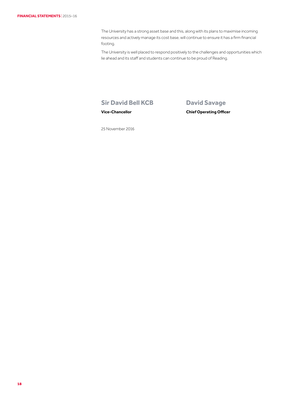The University has a strong asset base and this, along with its plans to maximise incoming resources and actively manage its cost base, will continue to ensure it has a firm financial footing.

The University is well placed to respond positively to the challenges and opportunities which lie ahead and its staff and students can continue to be proud of Reading.

#### **Sir David Bell KCB David Savage**

#### **Vice-Chancellor Chief Operating Officer**

25 November 2016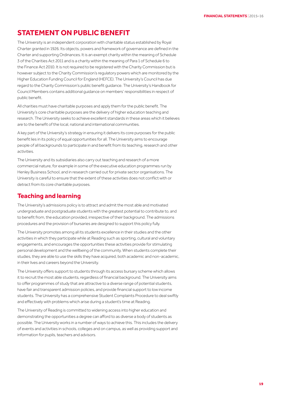#### **STATEMENT ON PUBLIC BENEFIT**

The University is an independent corporation with charitable status established by Royal Charter granted in 1926. Its objects, powers and framework of governance are defined in the Charter and supporting Ordinances. It is an exempt charity within the meaning of Schedule 3 of the Charities Act 2011 and is a charity within the meaning of Para 1 of Schedule 6 to the Finance Act 2010. It is not required to be registered with the Charity Commission but is however subject to the Charity Commission's regulatory powers which are monitored by the Higher Education Funding Council for England (HEFCE). The University's Council has due regard to the Charity Commission's public benefit guidance. The University's Handbook for Council Members contains additional guidance on members' responsibilities in respect of public benefit.

All charities must have charitable purposes and apply them for the public benefit. The University's core charitable purposes are the delivery of higher education teaching and research. The University seeks to achieve excellent standards in these areas which it believes are to the benefit of the local, national and international communities.

A key part of the University's strategy in ensuring it delivers its core purposes for the public benefit lies in its policy of equal opportunities for all. The University aims to encourage people of all backgrounds to participate in and benefit from its teaching, research and other activities.

The University and its subsidiaries also carry out teaching and research of a more commercial nature, for example in some of the executive education programmes run by Henley Business School, and in research carried out for private sector organisations. The University is careful to ensure that the extent of these activities does not conflict with or detract from its core charitable purposes.

#### **Teaching and learning**

The University's admissions policy is to attract and admit the most able and motivated undergraduate and postgraduate students with the greatest potential to contribute to, and to benefit from, the education provided, irrespective of their background. The admissions procedures and the provision of bursaries are designed to support this policy fully.

The University promotes among all its students excellence in their studies and the other activities in which they participate while at Reading such as sporting, cultural and voluntary engagements, and encourages the opportunities these activities provide for stimulating personal development and the wellbeing of the community. When students complete their studies, they are able to use the skills they have acquired, both academic and non-academic, in their lives and careers beyond the University.

The University offers support to students through its access bursary scheme which allows it to recruit the most able students, regardless of financial background. The University aims to offer programmes of study that are attractive to a diverse range of potential students, have fair and transparent admission policies, and provide financial support to low income students. The University has a comprehensive Student Complaints Procedure to deal swiftly and effectively with problems which arise during a student's time at Reading.

The University of Reading is committed to widening access into higher education and demonstrating the opportunities a degree can afford to as diverse a body of students as possible. The University works in a number of ways to achieve this. This includes the delivery of events and activities in schools, colleges and on campus, as well as providing support and information for pupils, teachers and advisors.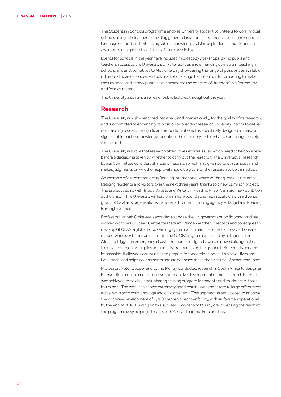The Students in Schools programme enables University student volunteers to work in local schools alongside teachers, providing general classroom assistance, one-to-one support, language support and enhancing subject knowledge, raising aspirations of pupils and an awareness of higher education as a future possibility.

Events for schools in the year have included microscopy workshops, giving pupils and teachers access to the University's on-site facilities and enhancing curriculum teaching in schools, and an Alternatives to Medicine Day showcasing the range of possibilities available in the healthcare sciences. A stock market challenge has seen pupils competing to make their millions, and school pupils have considered the concept of 'freedom' in a Philosophy and Politics taster.

The University also runs a series of public lectures throughout the year.

#### **Research**

The University is highly regarded, nationally and internationally, for the quality of its research, and is committed to enhancing its position as a leading research university. It aims to deliver outstanding research, a significant proportion of which is specifically designed to make a significant impact on knowledge, people or the economy, or to enhance or change society for the better.

The University is aware that research often raises ethical issues which need to be considered before a decision is taken on whether to carry out the research. The University's Research Ethics Committee considers all areas of research which may give rise to ethical issues and makes judgments on whether approval should be given for the research to be carried out.

An example of a recent project is Reading International, which will bring world-class art to Reading residents and visitors over the next three years, thanks to a new £1 million project. The project begins with 'Inside: Artists and Writers in Reading Prison', a major new exhibition at the prison. The University will lead the million-pound scheme, in coalition with a diverse group of local arts organisations, national arts commissioning agency Artangel and Reading Borough Council.

Professor Hannah Cloke was seconded to advise the UK government on flooding, and has worked with the European Centre for Medium-Range Weather Forecasts and colleagues to develop GLOFAS, a global flood warning system which has the potential to save thousands of lives, wherever floods are a threat. The GLOFAS system was used by aid agencies in Africa to trigger an emergency disaster response in Uganda, which allowed aid agencies to move emergency supplies and mobilise resources on the ground before roads became impassable. It allowed communities to prepare for oncoming floods. This saves lives and livelihoods, and helps governments and aid agencies make the best use of scant resources.

Professors Peter Cooper and Lynne Murray conducted research in South Africa to design an intervention programme to improve the cognitive development of pre-school children. This was achieved through a book-sharing training program for parents and children facilitated by trainers. The work has shown extremely good results, with moderate to large effect sizes achieved in both child language and child attention. This approach is anticipated to improve the cognitive development of 4,000 children a year per facility, with six facilities operational by the end of 2016. Building on this success, Cooper and Murray are increasing the reach of the programme by helping sites in South Africa, Thailand, Peru and Italy.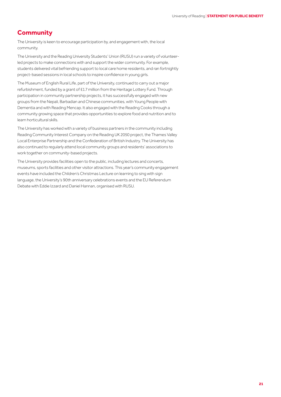#### **Community**

The University is keen to encourage participation by, and engagement with, the local community.

The University and the Reading University Students' Union (RUSU) run a variety of volunteerled projects to make connections with and support the wider community. For example, students delivered vital befriending support to local care home residents, and ran fortnightly project-based sessions in local schools to inspire confidence in young girls.

The Museum of English Rural Life, part of the University, continued to carry out a major refurbishment, funded by a grant of £1.7 million from the Heritage Lottery Fund. Through participation in community partnership projects, it has successfully engaged with new groups from the Nepali, Barbadian and Chinese communities, with Young People with Dementia and with Reading Mencap. It also engaged with the Reading Cooks through a community growing space that provides opportunities to explore food and nutrition and to learn horticultural skills.

The University has worked with a variety of business partners in the community including Reading Community Interest Company on the Reading UK 2050 project, the Thames Valley Local Enterprise Partnership and the Confederation of British Industry. The University has also continued to regularly attend local community groups and residents' associations to work together on community-based projects.

The University provides facilities open to the public, including lectures and concerts, museums, sports facilities and other visitor attractions. This year's community engagement events have included the Children's Christmas Lecture on learning to sing with sign language, the University's 90th anniversary celebrations events and the EU Referendum Debate with Eddie Izzard and Daniel Hannan, organised with RUSU.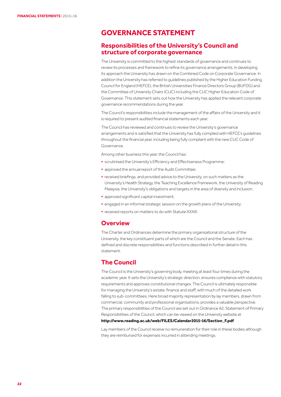#### **GOVERNANCE STATEMENT**

#### **Responsibilities of the University's Council and structure of corporate governance**

The University is committed to the highest standards of governance and continues to review its processes and framework to refine its governance arrangements. In developing its approach the University has drawn on the Combined Code on Corporate Governance. In addition the University has referred to guidelines published by the Higher Education Funding Council for England (HEFCE), the British Universities Finance Directors Group (BUFDG) and the Committee of University Chairs (CUC) including the CUC Higher Education Code of Governance. This statement sets out how the University has applied the relevant corporate governance recommendations during the year.

The Council's responsibilities include the management of the affairs of the University and it is required to present audited financial statements each year.

The Council has reviewed and continues to review the University's governance arrangements and is satisfied that the University has fully complied with HEFCE's guidelines throughout the financial year, including being fully compliant with the new CUC Code of Governance.

Among other business this year, the Council has:

- **•** scrutinised the University's Efficiency and Effectiveness Programme;
- **•** approved the annual report of the Audit Committee;
- **•** received briefings, and provided advice to the University, on such matters as the University's Health Strategy, the Teaching Excellence Framework, the University of Reading Malaysia, the University's obligations and targets in the area of diversity and inclusion;
- **•** approved significant capital investment;
- **•** engaged in an informal strategic session on the growth plans of the University;
- **•** received reports on matters to do with Statute XXXIII.

#### **Overview**

The Charter and Ordinances determine the primary organisational structure of the University, the key constituent parts of which are the Council and the Senate. Each has defined and discrete responsibilities and functions described in further detail in this statement.

#### **The Council**

The Council is the University's governing body, meeting at least four times during the academic year. It sets the University's strategic direction, ensures compliance with statutory requirements and approves constitutional changes. The Council is ultimately responsible for managing the University's estate, finance and staff, with much of the detailed work falling to sub-committees. Here broad majority representation by lay members, drawn from commercial, community and professional organisations, provides a valuable perspective. The primary responsibilities of the Council are set out in Ordinance A2, Statement of Primary Responsibilities of the Council, which can be viewed on the University website at **http://www.reading.ac.uk/web/FILES/Calendar2015-16/Section\_F.pdf**

Lay members of the Council receive no remuneration for their role in these bodies although they are reimbursed for expenses incurred in attending meetings.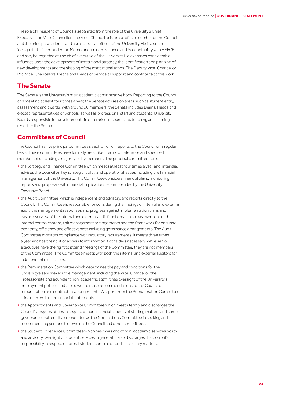The role of President of Council is separated from the role of the University's Chief Executive, the Vice-Chancellor. The Vice-Chancellor is an ex-officio member of the Council and the principal academic and administrative officer of the University. He is also the 'designated officer' under the Memorandum of Assurance and Accountability with HEFCE and may be regarded as the chief executive of the University. He exercises considerable influence upon the development of institutional strategy, the identification and planning of new developments and the shaping of the institutional ethos. The Deputy Vice-Chancellor, Pro-Vice-Chancellors, Deans and Heads of Service all support and contribute to this work.

#### **The Senate**

The Senate is the University's main academic administrative body. Reporting to the Council and meeting at least four times a year, the Senate advises on areas such as student entry, assessment and awards. With around 90 members, the Senate includes Deans, Heads and elected representatives of Schools, as well as professional staff and students. University Boards responsible for developments in enterprise, research and teaching and learning report to the Senate.

#### **Committees of Council**

The Council has five principal committees each of which reports to the Council on a regular basis. These committees have formally prescribed terms of reference and specified membership, including a majority of lay members. The principal committees are:

- **•** the Strategy and Finance Committee which meets at least four times a year and, inter alia, advises the Council on key strategic, policy and operational issues including the financial management of the University. This Committee considers financial plans, monitoring reports and proposals with financial implications recommended by the University Executive Board.
- **•** the Audit Committee, which is independent and advisory, and reports directly to the Council. This Committee is responsible for considering the findings of internal and external audit, the management responses and progress against implementation plans and has an overview of the internal and external audit functions. It also has oversight of the internal control system, risk management arrangements and the framework for ensuring economy, efficiency and effectiveness including governance arrangements. The Audit Committee monitors compliance with regulatory requirements. It meets three times a year and has the right of access to information it considers necessary. While senior executives have the right to attend meetings of the Committee, they are not members of the Committee. The Committee meets with both the internal and external auditors for independent discussions.
- **•** the Remuneration Committee which determines the pay and conditions for the University's senior executive management, including the Vice-Chancellor, the Professoriate and equivalent non-academic staff. It has oversight of the University's employment policies and the power to make recommendations to the Council on remuneration and contractual arrangements. A report from the Remuneration Committee is included within the financial statements.
- **•** the Appointments and Governance Committee which meets termly and discharges the Council's responsibilities in respect of non-financial aspects of staffing matters and some governance matters. It also operates as the Nominations Committee in seeking and recommending persons to serve on the Council and other committees.
- **•** the Student Experience Committee which has oversight of non-academic services policy and advisory oversight of student services in general. It also discharges the Council's responsibility in respect of formal student complaints and disciplinary matters.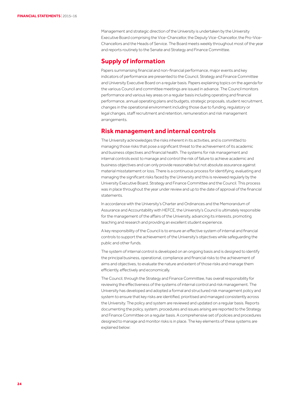Management and strategic direction of the University is undertaken by the University Executive Board comprising the Vice-Chancellor, the Deputy Vice-Chancellor, the Pro-Vice-Chancellors and the Heads of Service. The Board meets weekly throughout most of the year and reports routinely to the Senate and Strategy and Finance Committee.

#### **Supply of information**

Papers summarising financial and non-financial performance, major events and key indicators of performance are presented to the Council, Strategy and Finance Committee and University Executive Board on a regular basis. Papers explaining topics on the agenda for the various Council and committee meetings are issued in advance. The Council monitors performance and various key areas on a regular basis including operating and financial performance, annual operating plans and budgets, strategic proposals, student recruitment, changes in the operational environment including those due to funding, regulatory or legal changes, staff recruitment and retention, remuneration and risk management arrangements.

#### **Risk management and internal controls**

The University acknowledges the risks inherent in its activities, and is committed to managing those risks that pose a significant threat to the achievement of its academic and business objectives and financial health. The systems for risk management and internal controls exist to manage and control the risk of failure to achieve academic and business objectives and can only provide reasonable but not absolute assurance against material misstatement or loss. There is a continuous process for identifying, evaluating and managing the significant risks faced by the University and this is reviewed regularly by the University Executive Board, Strategy and Finance Committee and the Council. This process was in place throughout the year under review and up to the date of approval of the financial statements.

In accordance with the University's Charter and Ordinances and the Memorandum of Assurance and Accountability with HEFCE, the University's Council is ultimately responsible for the management of the affairs of the University, advancing its interests, promoting teaching and research and providing an excellent student experience.

A key responsibility of the Council is to ensure an effective system of internal and financial controls to support the achievement of the University's objectives while safeguarding the public and other funds.

The system of internal control is developed on an ongoing basis and is designed to identify the principal business, operational, compliance and financial risks to the achievement of aims and objectives, to evaluate the nature and extent of those risks and manage them efficiently, effectively and economically.

The Council, through the Strategy and Finance Committee, has overall responsibility for reviewing the effectiveness of the systems of internal control and risk management. The University has developed and adopted a formal and structured risk management policy and system to ensure that key risks are identified, prioritised and managed consistently across the University. The policy and system are reviewed and updated on a regular basis. Reports documenting the policy, system, procedures and issues arising are reported to the Strategy and Finance Committee on a regular basis. A comprehensive set of policies and procedures designed to manage and monitor risks is in place. The key elements of these systems are explained below: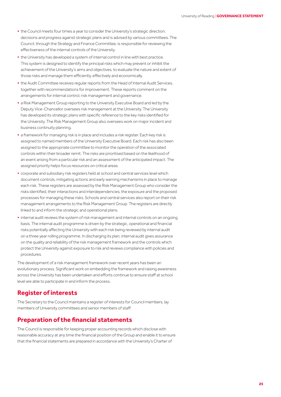- **•** the Council meets four times a year to consider the University's strategic direction, decisions and progress against strategic plans and is advised by various committees. The Council, through the Strategy and Finance Committee, is responsible for reviewing the effectiveness of the internal controls of the University.
- **•** the University has developed a system of internal control in line with best practice. This system is designed to identify the principal risks which may prevent or inhibit the achievement of the University's aims and objectives, to evaluate the nature and extent of those risks and manage them efficiently, effectively and economically.
- **•** the Audit Committee receives regular reports from the Head of Internal Audit Services, together with recommendations for improvement. These reports comment on the arrangements for internal control, risk management and governance.
- **•** a Risk Management Group reporting to the University Executive Board and led by the Deputy Vice-Chancellor oversees risk management at the University. The University has developed its strategic plans with specific reference to the key risks identified for the University. The Risk Management Group also oversees work on major incident and business continuity planning.
- **•** a framework for managing risk is in place and includes a risk register. Each key risk is assigned to named members of the University Executive Board. Each risk has also been assigned to the appropriate committee to monitor the operation of the associated controls within their broader remit. The risks are prioritised based on the likelihood of an event arising from a particular risk and an assessment of the anticipated impact. The assigned priority helps focus resources on critical areas.
- **•** corporate and subsidiary risk registers held at school and central services level which document controls, mitigating actions and early warning mechanisms in place to manage each risk. These registers are assessed by the Risk Management Group who consider the risks identified, their interactions and interdependencies, the exposure and the proposed processes for managing these risks. Schools and central services also report on their risk management arrangements to the Risk Management Group. The registers are directly linked to and inform the strategic and operational plans.
- **•** internal audit reviews the system of risk management and internal controls on an ongoing basis. The internal audit programme is driven by the strategic, operational and financial risks potentially affecting the University with each risk being reviewed by internal audit on a three year rolling programme. In discharging its plan, internal audit gives assurance on the quality and reliability of the risk management framework and the controls which protect the University against exposure to risk and reviews compliance with policies and procedures.

The development of a risk management framework over recent years has been an evolutionary process. Significant work on embedding the framework and raising awareness across the University has been undertaken and efforts continue to ensure staff at school level are able to participate in and inform the process.

#### **Register of interests**

The Secretary to the Council maintains a register of interests for Council members, lay members of University committees and senior members of staff.

#### **Preparation of the financial statements**

The Council is responsible for keeping proper accounting records which disclose with reasonable accuracy at any time the financial position of the Group and enable it to ensure that the financial statements are prepared in accordance with the University's Charter of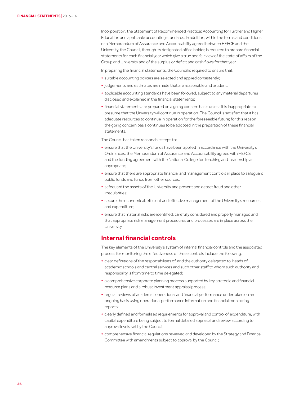Incorporation, the Statement of Recommended Practice: Accounting for Further and Higher Education and applicable accounting standards. In addition, within the terms and conditions of a Memorandum of Assurance and Accountability agreed between HEFCE and the University, the Council, through its designated office holder, is required to prepare financial statements for each financial year which give a true and fair view of the state of affairs of the Group and University and of the surplus or deficit and cash flows for that year.

In preparing the financial statements, the Council is required to ensure that:

- **•** suitable accounting policies are selected and applied consistently;
- **•** judgements and estimates are made that are reasonable and prudent;
- **•** applicable accounting standards have been followed, subject to any material departures disclosed and explained in the financial statements;
- **•** financial statements are prepared on a going concern basis unless it is inappropriate to presume that the University will continue in operation. The Council is satisfied that it has adequate resources to continue in operation for the foreseeable future; for this reason the going concern basis continues to be adopted in the preparation of these financial statements.

The Council has taken reasonable steps to:

- **•** ensure that the University's funds have been applied in accordance with the University's Ordinances, the Memorandum of Assurance and Accountability agreed with HEFCE and the funding agreement with the National College for Teaching and Leadership as appropriate;
- **•** ensure that there are appropriate financial and management controls in place to safeguard public funds and funds from other sources;
- **•** safeguard the assets of the University and prevent and detect fraud and other irregularities;
- **•** secure the economical, efficient and effective management of the University's resources and expenditure;
- **•** ensure that material risks are identified, carefully considered and properly managed and that appropriate risk management procedures and processes are in place across the University.

#### **Internal financial controls**

The key elements of the University's system of internal financial controls and the associated process for monitoring the effectiveness of these controls include the following:

- **•** clear definitions of the responsibilities of, and the authority delegated to, heads of academic schools and central services and such other staff to whom such authority and responsibility is from time to time delegated;
- **•** a comprehensive corporate planning process supported by key strategic and financial resource plans and a robust investment appraisal process;
- **•** regular reviews of academic, operational and financial performance undertaken on an ongoing basis using operational performance information and financial monitoring reports;
- **•** clearly defined and formalised requirements for approval and control of expenditure, with capital expenditure being subject to formal detailed appraisal and review according to approval levels set by the Council;
- **•** comprehensive financial regulations reviewed and developed by the Strategy and Finance Committee with amendments subject to approval by the Council;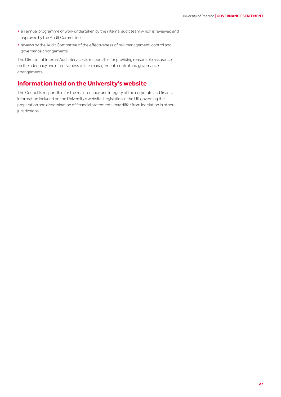- **•** an annual programme of work undertaken by the internal audit team which is reviewed and approved by the Audit Committee;
- **•** reviews by the Audit Committee of the effectiveness of risk management, control and governance arrangements.

The Director of Internal Audit Services is responsible for providing reasonable assurance on the adequacy and effectiveness of risk management, control and governance arrangements.

#### **Information held on the University's website**

The Council is responsible for the maintenance and integrity of the corporate and financial information included on the University's website. Legislation in the UK governing the preparation and dissemination of financial statements may differ from legislation in other jurisdictions.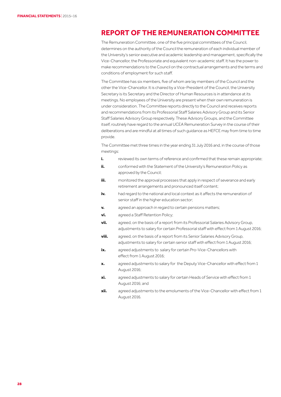#### **REPORT OF THE REMUNERATION COMMITTEE**

The Remuneration Committee, one of the five principal committees of the Council, determines on the authority of the Council the remuneration of each individual member of the University's senior executive and academic leadership and management, specifically the Vice-Chancellor, the Professoriate and equivalent non-academic staff. It has the power to make recommendations to the Council on the contractual arrangements and the terms and conditions of employment for such staff.

The Committee has six members, five of whom are lay members of the Council and the other the Vice-Chancellor. It is chaired by a Vice-President of the Council, the University Secretary is its Secretary and the Director of Human Resources is in attendance at its meetings. No employees of the University are present when their own remuneration is under consideration. The Committee reports directly to the Council and receives reports and recommendations from its Professorial Staff Salaries Advisory Group and its Senior Staff Salaries Advisory Group respectively. These Advisory Groups, and the Committee itself, routinely have regard to the annual UCEA Remuneration Survey in the course of their deliberations and are mindful at all times of such guidance as HEFCE may from time to time provide.

The Committee met three times in the year ending 31 July 2016 and, in the course of those meetings:

- **i.** *i.* reviewed its own terms of reference and confirmed that these remain appropriate;
- **ii.** conformed with the Statement of the University's Remuneration Policy as approved by the Council;
- **iii.** monitored the approval processes that apply in respect of severance and early retirement arrangements and pronounced itself content;
- **iv.** had regard to the national and local context as it affects the remuneration of senior staff in the higher education sector;
- **v.** agreed an approach in regard to certain pensions matters;
- **vi.** agreed a Staff Retention Policy:
- **vii.** agreed, on the basis of a report from its Professorial Salaries Advisory Group, adjustments to salary for certain Professorial staff with effect from 1 August 2016;
- **viii.** agreed, on the basis of a report from its Senior Salaries Advisory Group, adjustments to salary for certain senior staff with effect from 1 August 2016;
- ix. agreed adjustments to salary for certain Pro-Vice-Chancellors with effect from 1 August 2016;
- **x.** agreed adjustments to salary for the Deputy Vice-Chancellor with effect from 1 August 2016;
- **xi.** agreed adjustments to salary for certain Heads of Service with effect from 1 August 2016; and
- **xii.** agreed adjustments to the emoluments of the Vice-Chancellor with effect from 1 August 2016.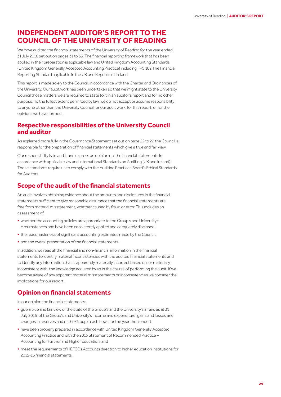#### **INDEPENDENT AUDITOR'S REPORT TO THE COUNCIL OF THE UNIVERSITY OF READING**

We have audited the financial statements of the University of Reading for the year ended 31 July 2016 set out on pages 31 to 63. The financial reporting framework that has been applied in their preparation is applicable law and United Kingdom Accounting Standards (United Kingdom Generally Accepted Accounting Practice) including FRS 102 The Financial Reporting Standard applicable in the UK and Republic of Ireland.

This report is made solely to the Council, in accordance with the Charter and Ordinances of the University. Our audit work has been undertaken so that we might state to the University Council those matters we are required to state to it in an auditor's report and for no other purpose. To the fullest extent permitted by law, we do not accept or assume responsibility to anyone other than the University Council for our audit work, for this report, or for the opinions we have formed.

#### **Respective responsibilities of the University Council and auditor**

As explained more fully in the Governance Statement set out on page 22 to 27, the Council is responsible for the preparation of financial statements which give a true and fair view.

Our responsibility is to audit, and express an opinion on, the financial statements in accordance with applicable law and International Standards on Auditing (UK and Ireland). Those standards require us to comply with the Auditing Practices Board's Ethical Standards for Auditors.

#### **Scope of the audit of the financial statements**

An audit involves obtaining evidence about the amounts and disclosures in the financial statements sufficient to give reasonable assurance that the financial statements are free from material misstatement, whether caused by fraud or error. This includes an assessment of:

- **•** whether the accounting policies are appropriate to the Group's and University's circumstances and have been consistently applied and adequately disclosed;
- **•** the reasonableness of significant accounting estimates made by the Council;
- **•** and the overall presentation of the financial statements.

In addition, we read all the financial and non-financial information in the financial statements to identify material inconsistencies with the audited financial statements and to identify any information that is apparently materially incorrect based on, or materially inconsistent with, the knowledge acquired by us in the course of performing the audit. If we become aware of any apparent material misstatements or inconsistencies we consider the implications for our report.

#### **Opinion on financial statements**

In our opinion the financial statements:

- **•** give a true and fair view of the state of the Group's and the University's affairs as at 31 July 2016, of the Group's and University's income and expenditure, gains and losses and changes in reserves and of the Group's cash flows for the year then ended;
- **•** have been properly prepared in accordance with United Kingdom Generally Accepted Accounting Practice and with the 2015 Statement of Recommended Practice – Accounting for Further and Higher Education; and
- meet the requirements of HEFCE's Accounts direction to higher education institutions for 2015-16 financial statements.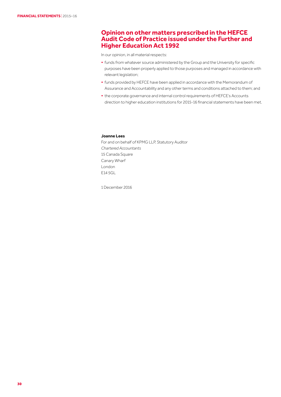#### **Opinion on other matters prescribed in the HEFCE Audit Code of Practice issued under the Further and Higher Education Act 1992**

In our opinion, in all material respects:

- **•** funds from whatever source administered by the Group and the University for specific purposes have been properly applied to those purposes and managed in accordance with relevant legislation;
- **•** funds provided by HEFCE have been applied in accordance with the Memorandum of Assurance and Accountability and any other terms and conditions attached to them; and
- **•** the corporate governance and internal control requirements of HEFCE's Accounts direction to higher education institutions for 2015-16 financial statements have been met.

#### **Joanne Lees**

For and on behalf of KPMG LLP, Statutory Auditor *Chartered Accountants* 15 Canada Square Canary Wharf London E14 5GL

1 December 2016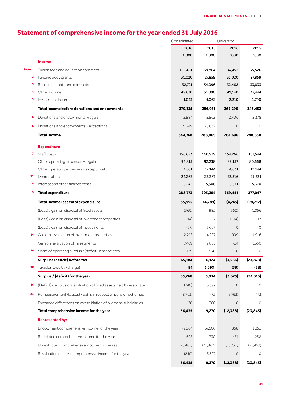## **Statement of comprehensive income for the year ended 31 July 2016**

|        |                                                                      | Consolidated |           | University |           |
|--------|----------------------------------------------------------------------|--------------|-----------|------------|-----------|
|        |                                                                      | 2016         | 2015      | 2016       | 2015      |
|        |                                                                      | £'000        | £'000     | £'000      | £'000     |
|        | <b>Income</b>                                                        |              |           |            |           |
| Note 1 | Tuition fees and education contracts                                 | 152,481      | 139,864   | 147,452    | 135,526   |
| 2      | Funding body grants                                                  | 31,020       | 27,859    | 31,020     | 27,859    |
| 3      | Research grants and contracts                                        | 32,721       | 34,096    | 32,468     | 33,833    |
| 4      | Other income                                                         | 49,870       | 51,090    | 49,140     | 47,444    |
| 5      | Investment income                                                    | 4,043        | 4,062     | 2,210      | 1,790     |
|        | Total income before donations and endowments                         | 270,135      | 256,971   | 262,290    | 246,452   |
| 6      | Donations and endowments -regular                                    | 2,884        | 2,862     | 2,406      | 2,378     |
| 6      | Donations and endowments - exceptional                               | 71,749       | 28,632    | $\circ$    | 0         |
|        | <b>Total income</b>                                                  | 344,768      | 288,465   | 264,696    | 248,830   |
|        | <b>Expenditure</b>                                                   |              |           |            |           |
| 7      | Staff costs                                                          | 158,623      | 160,979   | 154,266    | 157,544   |
|        | Other operating expenses - regular                                   | 95,815       | 92,238    | 82,157     | 80,668    |
|        | Other operating expenses - exceptional                               | 4,831        | 12,144    | 4,831      | 12,144    |
| 11     | Depreciation                                                         | 24,262       | 22,387    | 22,516     | 21,321    |
| 8      | Interest and other finance costs                                     | 5,242        | 5,506     | 5,671      | 5,370     |
| 9      | <b>Total expenditure</b>                                             | 288,773      | 293,254   | 269,441    | 277,047   |
|        | Total income less total expenditure                                  | 55,995       | (4,789)   | (4,745)    | (28, 217) |
|        | (Loss) / gain on disposal of fixed assets                            | (360)        | 985       | (360)      | 1,056     |
|        | (Loss) / gain on disposal of investment properties                   | (214)        | 17        | (214)      | 17        |
|        | (Loss) / gain on disposal of investments                             | (57)         | 3,607     | $\circ$    | 0         |
| 14     | Gain on revaluation of investment properties                         | 2,212        | 4,227     | 1,009      | 1,916     |
|        | Gain on revaluation of investments                                   | 7,469        | 2,801     | 724        | 1,350     |
|        | Share of operating surplus / (deficit) in associates                 | 139          | (724)     | $\circ$    | 0         |
|        | Surplus/ (deficit) before tax                                        | 65,184       | 6,124     | (3, 586)   | (23, 878) |
| 10     | Taxation credit / (charge)                                           | 84           | (1,090)   | (39)       | (438)     |
|        | Surplus / (deficit) for the year                                     | 65,268       | 5,034     | (3,625)    | (24, 316) |
| 16     | (Deficit) / surplus on revaluation of fixed assets held by associate | (240)        | 3,397     | $\circ$    | $\circ$   |
| 33     | Remeasurement (losses) / gains in respect of pension schemes         | (8,763)      | 473       | (8,763)    | 473       |
|        | Exchange differences on consolidation of overseas subsidiaries       | 170          | 366       | $\circ$    | $\circ$   |
|        | Total comprehensive income for the year                              | 56,435       | 9,270     | (12, 388)  | (23, 843) |
|        | <b>Represented by:</b>                                               |              |           |            |           |
|        | Endowment comprehensive income for the year                          | 79,564       | 37,506    | 868        | 1,352     |
|        | Restricted comprehensive income for the year                         | 593          | 330       | 474        | 258       |
|        | Unrestricted comprehensive income for the year                       | (23, 482)    | (31, 963) | (13,730)   | (25, 453) |
|        | Revaluation reserve comprehensive income for the year                | (240)        | 3,397     | $\circ$    | 0         |
|        |                                                                      | 56,435       | 9,270     | (12, 388)  | (23, 843) |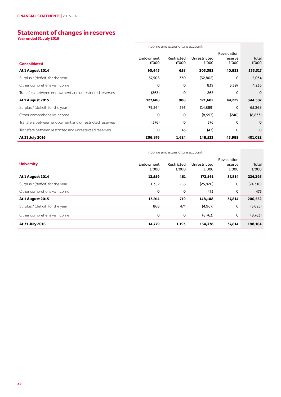#### **Statement of changes in reserves**

**Year ended 31 July 2016**

|                                                        | Income and expenditure account |                     |                       |                                 |                |
|--------------------------------------------------------|--------------------------------|---------------------|-----------------------|---------------------------------|----------------|
| <b>Consolidated</b>                                    | Endowment<br>£'000             | Restricted<br>£'000 | Unrestricted<br>£'000 | Revaluation<br>reserve<br>£'000 | Total<br>£'000 |
| At 1 August 2014                                       | 90,445                         | 658                 | 203,382               | 40,832                          | 335,317        |
| Surplus / (deficit) for the year                       | 37,506                         | 330                 | (32,802)              | $\mathbf 0$                     | 5,034          |
| Other comprehensive income                             | 0                              | 0                   | 839                   | 3,397                           | 4,236          |
| Transfers between endowment and unrestricted reserves  | (263)                          | 0                   | 263                   | 0                               | $\Omega$       |
| <b>At 1 August 2015</b>                                | 127,688                        | 988                 | 171,682               | 44,229                          | 344,587        |
| Surplus / (deficit) for the year                       | 79,564                         | 593                 | (14, 889)             | 0                               | 65,268         |
| Other comprehensive income                             | 0                              | 0                   | (8, 593)              | (240)                           | (8,833)        |
| Transfers between endowment and unrestricted reserves  | (376)                          | 0                   | 376                   | $\Omega$                        | $\Omega$       |
| Transfers between restricted and unrestricted reserves | 0                              | 43                  | (43)                  | 0                               | $\mathbf 0$    |
| At 31 July 2016                                        | 206,876                        | 1,624               | 148,533               | 43,989                          | 401,022        |

|                                  | Income and expenditure account |                     |                       |                                 |                |
|----------------------------------|--------------------------------|---------------------|-----------------------|---------------------------------|----------------|
| <b>University</b>                | Endowment<br>£'000             | Restricted<br>£'000 | Unrestricted<br>£'000 | Revaluation<br>reserve<br>£'000 | Total<br>E'000 |
| At 1 August 2014                 | 12,559                         | 461                 | 173,561               | 37,814                          | 224,395        |
| Surplus / (deficit) for the year | 1,352                          | 258                 | (25, 926)             | 0                               | (24, 316)      |
| Other comprehensive income       | 0                              | 0                   | 473                   | $\mathbf 0$                     | 473            |
| <b>At 1 August 2015</b>          | 13,911                         | 719                 | 148,108               | 37,814                          | 200,552        |
| Surplus / (deficit) for the year | 868                            | 474                 | (4, 967)              | 0                               | (3,625)        |
| Other comprehensive income       | 0                              | 0                   | (8,763)               | $\mathbf 0$                     | (8,763)        |
| At 31 July 2016                  | 14,779                         | 1,193               | 134.378               | 37.814                          | 188,164        |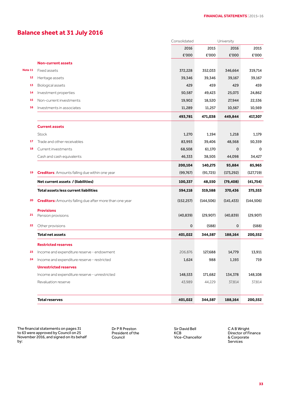#### **Balance sheet at 31 July 2016**

|         |                                                                | Consolidated |            | University  |            |
|---------|----------------------------------------------------------------|--------------|------------|-------------|------------|
|         |                                                                | 2016         | 2015       | 2016        | 2015       |
|         |                                                                | £'000        | £'000      | £'000       | £'000      |
|         | <b>Non-current assets</b>                                      |              |            |             |            |
| Note 11 | Fixed assets                                                   | 372,228      | 352,033    | 346,664     | 319,714    |
| 12      | Heritage assets                                                | 39,346       | 39,346     | 39,167      | 39,167     |
| 13      | Biological assets                                              | 429          | 459        | 429         | 459        |
| 14      | Investment properties                                          | 50,587       | 49,423     | 25,073      | 24,862     |
| 15      | Non-current investments                                        | 19,902       | 18,520     | 27,944      | 22,536     |
| 16      | Investments in associates                                      | 11,289       | 11,257     | 10,567      | 10,569     |
|         |                                                                | 493,781      | 471,038    | 449,844     | 417,307    |
|         | <b>Current assets</b>                                          |              |            |             |            |
|         | <b>Stock</b>                                                   | 1,270        | 1,194      | 1,218       | 1,179      |
| 17      | Trade and other receivables                                    | 83,993       | 39,406     | 48,568      | 50,359     |
| 18      | Current investments                                            | 68,508       | 61,170     | $\mathbf 0$ | 0          |
|         | Cash and cash equivalents                                      | 46,333       | 38,505     | 44,098      | 34,427     |
|         |                                                                | 200,104      | 140,275    | 93,884      | 85,965     |
| 19      | <b>Creditors:</b> Amounts falling due within one year          | (99, 767)    | (91, 725)  | (173, 292)  | (127,719)  |
|         | Net current assets / (liabilities)                             | 100,337      | 48,550     | (79, 408)   | (41,754)   |
|         | Total assets less current liabilities                          | 594,118      | 519,588    | 370,436     | 375,553    |
| 20      | <b>Creditors:</b> Amounts falling due after more than one year | (152, 257)   | (144, 506) | (141, 433)  | (144, 506) |
|         | <b>Provisions</b>                                              |              |            |             |            |
| 21      | Pension provisions                                             | (40, 839)    | (29, 907)  | (40, 839)   | (29, 907)  |
| 22      | Other provisions                                               | $\mathbf 0$  | (588)      | 0           | (588)      |
|         | <b>Total net assets</b>                                        | 401,022      | 344,587    | 188,164     | 200,552    |
|         | <b>Restricted reserves</b>                                     |              |            |             |            |
| 23      | Income and expenditure reserve - endowment                     | 206,876      | 127,688    | 14,779      | 13,911     |
| 24      | Income and expenditure reserve - restricted                    | 1,624        | 988        | 1,193       | 719        |
|         | <b>Unrestricted reserves</b>                                   |              |            |             |            |
|         | Income and expenditure reserve - unrestricted                  | 148,533      | 171,682    | 134,378     | 148,108    |
|         | Revaluation reserve                                            | 43,989       | 44,229     | 37,814      | 37,814     |
|         |                                                                |              |            |             |            |
|         | <b>Total reserves</b>                                          | 401,022      | 344,587    | 188,164     | 200,552    |

The financial statements on pages 31 to 63 were approved by Council on 25 November 2016, and signed on its behalf by:

Dr P R Preston President of the **Council** 

Sir David Bell KCB Vice-Chancellor C A B Wright Director of Finance & Corporate Services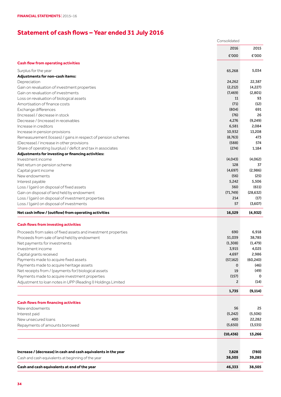**FINANCIAL STATEMENTS** | 2015–16

## **Statement of cash flows – Year ended 31 July 2016**

|                                                                                                                | Consolidated            |              |
|----------------------------------------------------------------------------------------------------------------|-------------------------|--------------|
|                                                                                                                | 2016                    | 2015         |
|                                                                                                                | £'000                   | £'000        |
| <b>Cash flow from operating activities</b>                                                                     |                         |              |
| Surplus for the year                                                                                           | 65,268                  | 5,034        |
| Adjustments for non-cash items:                                                                                |                         |              |
| Depreciation                                                                                                   | 24,262                  | 22,387       |
| Gain on revaluation of investment properties                                                                   | (2,212)                 | (4, 227)     |
| Gain on revaluation of investments                                                                             | (7, 469)                | (2,801)      |
| Loss on revaluation of biological assets                                                                       | 11                      | 93           |
| Amortisation of finance costs                                                                                  | (71)                    | (12)         |
| Exchange differences                                                                                           | (804)                   | 691          |
| (Increase) / decrease in stock                                                                                 | (76)                    | 26           |
| Decrease / (increase) in receivables                                                                           | 4,276                   | (9,249)      |
| Increase in creditors                                                                                          | 6,581                   | 2,084        |
| Increase in pension provisions                                                                                 | 10,932                  | 13,208       |
| Remeasurement (losses) / gains in respect of pension schemes                                                   | (8, 763)                | 473          |
| (Decrease) / increase in other provisions                                                                      | (588)                   | 574          |
|                                                                                                                | (274)                   | 1,184        |
| Share of operating (surplus) / deficit and tax in associates                                                   |                         |              |
| Adjustments for investing or financing activities:                                                             |                         |              |
| Investment income                                                                                              | (4,043)                 | (4,062)      |
| Net return on pension scheme                                                                                   | 128                     | 37           |
| Capital grant income                                                                                           | (4,697)                 | (2,986)      |
| New endowments                                                                                                 | (56)                    | (25)         |
| Interest payable                                                                                               | 5,242                   | 5,506        |
| Loss / (gain) on disposal of fixed assets                                                                      | 360                     | (611)        |
| Gain on disposal of land held by endowment                                                                     | (71, 749)               | (28, 632)    |
| Loss / (gain) on disposal of investment properties                                                             | 214                     | (17)         |
| Loss / (gain) on disposal of investments                                                                       | 57                      | (3,607)      |
| Net cash inflow / (outflow) from operating activities                                                          | 16,529                  | (4, 932)     |
| <b>Cash flows from investing activities</b>                                                                    |                         |              |
| Proceeds from sales of fixed assets and investment properties                                                  | 690                     | 6,918        |
| Proceeds from sale of land held by endowment                                                                   | 51,039                  | 38,785       |
| Net payments for investments                                                                                   | (1,308)                 | (1, 479)     |
|                                                                                                                | 3,915                   | 4,025        |
| Investment income                                                                                              | 4,697                   | 2,986        |
| Capital grants received                                                                                        |                         |              |
| Payments made to acquire fixed assets<br>Payments made to acquire heritage assets                              | (57, 162)               | (60, 240)    |
|                                                                                                                | 0<br>19                 | (46)<br>(49) |
| Net receipts from / (payments for) biological assets                                                           |                         | 0            |
| Payments made to acquire investment properties<br>Adjustment to loan notes in UPP (Reading I) Holdings Limited | (157)<br>$\overline{2}$ | (14)         |
|                                                                                                                | 1,735                   | (9, 114)     |
|                                                                                                                |                         |              |
| <b>Cash flows from financing activities</b>                                                                    |                         |              |
| New endowments                                                                                                 | 56                      | 25           |
| Interest paid                                                                                                  | (5, 242)                | (5,506)      |
| New unsecured loans                                                                                            | 400                     | 22,282       |
| Repayments of amounts borrowed                                                                                 | (5,650)                 | (3, 535)     |
|                                                                                                                | (10, 436)               | 13,266       |
|                                                                                                                |                         |              |
| Increase / (decrease) in cash and cash aquivalents in the year                                                 | 7,828                   | (780)        |
| Cash and cash equivalents at beginning of the year                                                             | 38,505                  | 39,285       |
|                                                                                                                |                         |              |
| Cash and cash equivalents at end of the year                                                                   | 46,333                  | 38,505       |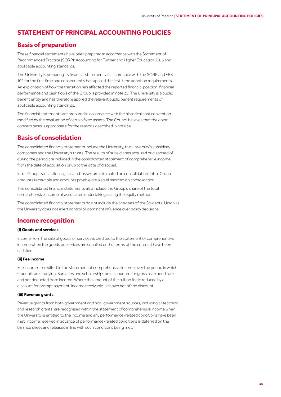#### **STATEMENT OF PRINCIPAL ACCOUNTING POLICIES**

#### **Basis of preparation**

These financial statements have been prepared in accordance with the Statement of Recommended Practice (SORP): Accounting for Further and Higher Education 2015 and applicable accounting standards.

The University is preparing its financial statements in accordance with the SORP and FRS 102 for the first time and consequently has applied the first-time adoption requirements. An explanation of how the transition has affected the reported financial position, financial performance and cash flows of the Group is provided in note 35. The University is a public benefit entity and has therefore applied the relevant public benefit requirements of applicable accounting standards.

The financial statements are prepared in accordance with the historical cost convention modified by the revaluation of certain fixed assets. The Council believes that the going concern basis is appropriate for the reasons described in note 34.

#### **Basis of consolidation**

The consolidated financial statements include the University, the University's subsidiary companies and the University's trusts. The results of subsidiaries acquired or disposed of during the period are included in the consolidated statement of comprehensive income from the date of acquisition or up to the date of disposal.

Intra-Group transactions, gains and losses are eliminated on consolidation. Intra-Group amounts receivable and amounts payable are also eliminated on consolidation.

The consolidated financial statements also include the Group's share of the total comprehensive income of associated undertakings using the equity method.

The consolidated financial statements do not include the activities of the Students' Union as the University does not exert control or dominant influence over policy decisions.

#### **Income recognition**

#### **(i) Goods and services**

Income from the sale of goods or services is credited to the statement of comprehensive income when the goods or services are supplied or the terms of the contract have been satisfied.

#### **(ii) Fee income**

Fee income is credited to the statement of comprehensive income over the period in which students are studying. Bursaries and scholarships are accounted for gross as expenditure and not deducted from income. Where the amount of the tuition fee is reduced by a discount for prompt payment, income receivable is shown net of the discount.

#### **(iii) Revenue grants**

Revenue grants from both government and non-government sources, including all teaching and research grants, are recognised within the statement of comprehensive income when the University is entitled to the income and any performance-related conditions have been met. Income received in advance of performance-related conditions is deferred on the balance sheet and released in line with such conditions being met.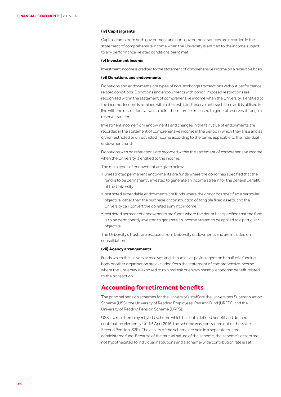#### **(iv) Capital grants**

Capital grants from both government and non-government sources are recorded in the statement of comprehensive income when the University is entitled to the income subject to any performance-related conditions being met.

#### **(v) Investment income**

Investmentincome is credited to the statement of comprehensive income on a receivable basis.

#### **(vi) Donations and endowments**

Donations and endowments are types of non-exchange transactions without performancerelated conditions. Donations and endowments with donor-imposed restrictions are recognised within the statement of comprehensive income when the University is entitled to the income. Income is retained within the restricted reserve until such time as it is utilised in line with the restrictions at which point the income is released to general reserves through a reserve transfer.

Investment income from endowments and changes in the fair value of endowments are recorded in the statement of comprehensive income in the period in which they arise and as either restricted or unrestricted income according to the terms applicable to the individual endowment fund.

Donations with no restrictions are recorded within the statement of comprehensive income when the University is entitled to the income.

The main types of endowment are given below:

- **•** unrestricted permanent endowments are funds where the donor has specified that the fund is to be permanently invested to generate an income stream for the general benefit of the University.
- **•** restricted expendable endowments are funds where the donor has specified a particular objective, other than the purchase or construction of tangible fixed assets, and the University can convert the donated sum into income.
- **•** restricted permanent endowments are funds where the donor has specified that the fund is to be permanently invested to generate an income stream to be applied to a particular objective.

The University's trusts are excluded from University endowments and are included on consolidation.

#### **(vii) Agency arrangements**

Funds which the University receives and disburses as paying agent on behalf of a funding body or other organisation are excluded from the statement of comprehensive income where the University is exposed to minimal risk or enjoys minimal economic benefit related to the transaction.

#### **Accounting for retirement benefits**

The principal pension schemes for the University's staff are the Universities Superannuation Scheme (USS), the University of Reading Employees' Pension Fund (UREPF) and the University of Reading Pension Scheme (URPS).

USS is a multi-employer hybrid scheme which has both defined benefit and defined contribution elements. Until 5 April 2016, the scheme was contracted out of the State Second Pension (S2P). The assets of the scheme are held in a separate trusteeadministered fund. Because of the mutual nature of the scheme, the scheme's assets are not hypothecated to individual institutions and a scheme-wide contribution rate is set.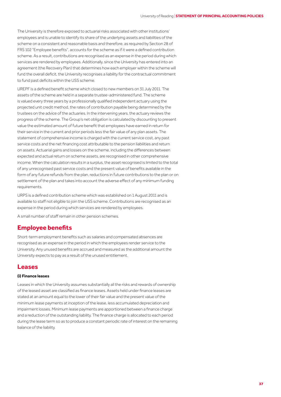The University is therefore exposed to actuarial risks associated with other institutions' employees and is unable to identify its share of the underlying assets and liabilities of the scheme on a consistent and reasonable basis and therefore, as required by Section 28 of FRS 102 "Employee benefits", accounts for the scheme as if it were a defined contribution scheme. As a result, contributions are recognised as an expense in the period during which services are rendered by employees. Additionally, since the University has entered into an agreement (the Recovery Plan) that determines how each employer within the scheme will fund the overall deficit, the University recognises a liability for the contractual commitment to fund past deficits within the USS scheme.

UREPF is a defined benefit scheme which closed to new members on 31 July 2011. The assets of the scheme are held in a separate trustee-administered fund. The scheme is valued every three years by a professionally qualified independent actuary using the projected unit credit method, the rates of contribution payable being determined by the trustees on the advice of the actuaries. In the intervening years, the actuary reviews the progress of the scheme. The Group's net obligation is calculated by discounting to present value the estimated amount of future benefit that employees have earned in return for their service in the current and prior periods less the fair value of any plan assets. The statement of comprehensive income is charged with the current service cost, any past service costs and the net financing cost attributable to the pension liabilities and return on assets. Actuarial gains and losses on the scheme, including the differences between expected and actual return on scheme assets, are recognised in other comprehensive income. When the calculation results in a surplus, the asset recognised is limited to the total of any unrecognised past service costs and the present value of benefits available in the form of any future refunds from the plan, reductions in future contributions to the plan or on settlement of the plan and takes into account the adverse effect of any minimum funding requirements.

URPS is a defined contribution scheme which was established on 1 August 2011 and is available to staff not eligible to join the USS scheme. Contributions are recognised as an expense in the period during which services are rendered by employees.

A small number of staff remain in other pension schemes.

#### **Employee benefits**

Short-term employment benefits such as salaries and compensated absences are recognised as an expense in the period in which the employees render service to the University. Any unused benefits are accrued and measured as the additional amount the University expects to pay as a result of the unused entitlement.

#### **Leases**

#### **(i) Finance leases**

Leases in which the University assumes substantially all the risks and rewards of ownership of the leased asset are classified as finance leases. Assets held under finance leases are stated at an amount equal to the lower of their fair value and the present value of the minimum lease payments at inception of the lease, less accumulated depreciation and impairment losses. Minimum lease payments are apportioned between a finance charge and a reduction of the outstanding liability. The finance charge is allocated to each period during the lease term so as to produce a constant periodic rate of interest on the remaining balance of the liability.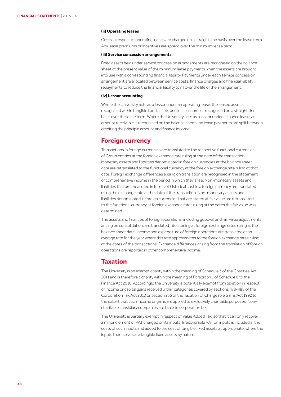#### **(ii) Operating leases**

Costs in respect of operating leases are charged on a straight-line basis over the lease term. Any lease premiums or incentives are spread over the minimum lease term.

#### **(iii) Service concession arrangements**

Fixed assets held under service concession arrangements are recognised on the balance sheet at the present value of the minimum lease payments when the assets are brought into use with a corresponding financial liability. Payments under each service concession arrangement are allocated between service costs, finance charges and financial liability repayments to reduce the financial liability to nil over the life of the arrangement.

#### **(iv) Lessor accounting**

Where the University acts as a lessor under an operating lease, the leased asset is recognised within tangible fixed assets and lease income is recognised on a straight-line basis over the lease term. Where the University acts as a lessor under a finance lease, an amount receivable is recognised on the balance sheet and lease payments are split between crediting the principle amount and finance income.

#### **Foreign currency**

Transactions in foreign currencies are translated to the respective functional currencies of Group entities at the foreign exchange rate ruling at the date of the transaction. Monetary assets and liabilities denominated in foreign currencies at the balance sheet date are retranslated to the functional currency at the foreign exchange rate ruling at that date. Foreign exchange differences arising on translation are recognised in the statement of comprehensive income in the period in which they arise. Non-monetary assets and liabilities that are measured in terms of historical cost in a foreign currency are translated using the exchange rate at the date of the transaction. Non-monetary assets and liabilities denominated in foreign currencies that are stated at fair value are retranslated to the functional currency at foreign exchange rates ruling at the dates the fair value was determined.

The assets and liabilities of foreign operations, including goodwill and fair value adjustments arising on consolidation, are translated into sterling at foreign exchange rates ruling at the balance sheet date. Income and expenditure of foreign operations are translated at an average rate for the year where this rate approximates to the foreign exchange rates ruling at the dates of the transactions. Exchange differences arising from the translation of foreign operations are reported in other comprehensive income.

#### **Taxation**

The University is an exempt charity within the meaning of Schedule 3 of the Charities Act 2011 and is therefore a charity within the meaning of Paragraph 1 of Schedule 6 to the Finance Act 2010. Accordingly, the University is potentially exempt from taxation in respect of income or capital gains received within categories covered by sections 478-488 of the Corporation Tax Act 2010 or section 256 of the Taxation of Chargeable Gains Act 1992 to the extent that such income or gains are applied to exclusively charitable purposes. Noncharitable subsidiary companies are liable to corporation tax.

The University is partially exempt in respect of Value Added Tax, so that it can only recover a minor element of VAT charged on its inputs. Irrecoverable VAT on inputs is included in the costs of such inputs and added to the cost of tangible fixed assets as appropriate, where the inputs themselves are tangible fixed assets by nature.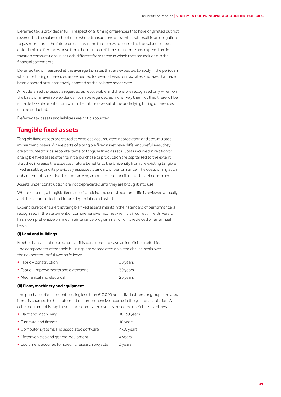Deferred tax is provided in full in respect of all timing differences that have originated but not reversed at the balance sheet date where transactions or events that result in an obligation to pay more tax in the future or less tax in the future have occurred at the balance sheet date. Timing differences arise from the inclusion of items of income and expenditure in taxation computations in periods different from those in which they are included in the financial statements.

Deferred tax is measured at the average tax rates that are expected to apply in the periods in which the timing differences are expected to reverse based on tax rates and laws that have been enacted or substantively enacted by the balance sheet date.

A net deferred tax asset is regarded as recoverable and therefore recognised only when, on the basis of all available evidence, it can be regarded as more likely than not that there will be suitable taxable profits from which the future reversal of the underlying timing differences can be deducted.

Deferred tax assets and liabilities are not discounted.

#### **Tangible fixed assets**

Tangible fixed assets are stated at cost less accumulated depreciation and accumulated impairment losses. Where parts of a tangible fixed asset have different useful lives, they are accounted for as separate items of tangible fixed assets. Costs incurred in relation to a tangible fixed asset after its initial purchase or production are capitalised to the extent that they increase the expected future benefits to the University from the existing tangible fixed asset beyond its previously assessed standard of performance. The costs of any such enhancements are added to the carrying amount of the tangible fixed asset concerned.

Assets under construction are not depreciated until they are brought into use.

Where material, a tangible fixed asset's anticipated useful economic life is reviewed annually and the accumulated and future depreciation adjusted.

Expenditure to ensure that tangible fixed assets maintain their standard of performance is recognised in the statement of comprehensive income when it is incurred. The University has a comprehensive planned maintenance programme, which is reviewed on an annual basis.

#### **(i) Land and buildings**

Freehold land is not depreciated as it is considered to have an indefinite useful life. The components of freehold buildings are depreciated on a straight line basis over their expected useful lives as follows:

| • Fabric – construction                | 50 years |
|----------------------------------------|----------|
| • Fabric – improvements and extensions | 30 years |
| • Mechanical and electrical            | 20 years |

#### **(ii) Plant, machinery and equipment**

The purchase of equipment costing less than £10,000 per individual item or group of related items is charged to the statement of comprehensive income in the year of acquisition. All other equipment is capitalised and depreciated over its expected useful life as follows:

| • Plant and machinery                               | $10-30$ years |
|-----------------------------------------------------|---------------|
| • Furniture and fittings                            | 10 years      |
| • Computer systems and associated software          | $4-10$ years  |
| • Motor vehicles and general equipment              | 4 years       |
| • Equipment acquired for specific research projects | 3 years       |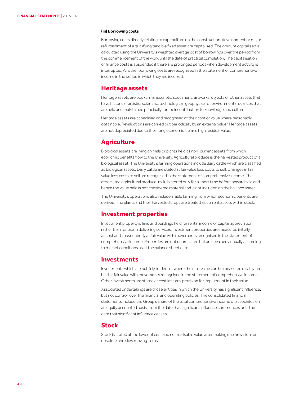#### **(iii) Borrowing costs**

Borrowing costs directly relating to expenditure on the construction, development or major refurbishment of a qualifying tangible fixed asset are capitalised. The amount capitalised is calculated using the University's weighted average cost of borrowings over the period from the commencement of the work until the date of practical completion. The capitalisation of finance costs is suspended if there are prolonged periods when development activity is interrupted. All other borrowing costs are recognised in the statement of comprehensive income in the period in which they are incurred.

#### **Heritage assets**

Heritage assets are books, manuscripts, specimens, artworks, objects or other assets that have historical, artistic, scientific, technological, geophysical or environmental qualities that are held and maintained principally for their contribution to knowledge and culture.

Heritage assets are capitalised and recognised at their cost or value where reasonably obtainable. Revaluations are carried out periodically by an external valuer. Heritage assets are not depreciated due to their long economic life and high residual value.

#### **Agriculture**

Biological assets are living animals or plants held as non-current assets from which economic benefits flow to the University. Agricultural produce is the harvested product of a biological asset. The University's farming operations include dairy cattle which are classified as biological assets. Dairy cattle are stated at fair value less costs to sell. Changes in fair value less costs to sell are recognised in the statement of comprehensive income. The associated agricultural produce, milk, is stored only for a short time before onward sale and hence the value held is not considered material and is not included on the balance sheet.

The University's operations also include arable farming from which economic benefits are derived. The plants and their harvested crops are treated as current assets within stock.

#### **Investment properties**

Investment property is land and buildings held for rental income or capital appreciation rather than for use in delivering services. Investment properties are measured initially at cost and subsequently at fair value with movements recognised in the statement of comprehensive income. Properties are not depreciated but are revalued annually according to market conditions as at the balance sheet date.

#### **Investments**

Investments which are publicly traded, or where their fair value can be measured reliably, are held at fair value with movements recognised in the statement of comprehensive income. Other investments are stated at cost less any provision for impairment in their value.

Associated undertakings are those entities in which the University has significant influence, but not control, over the financial and operating policies. The consolidated financial statements include the Group's share of the total comprehensive income of associates on an equity accounted basis, from the date that significant influence commences until the date that significant influence ceases.

#### **Stock**

Stock is stated at the lower of cost and net realisable value after making due provision for obsolete and slow moving items.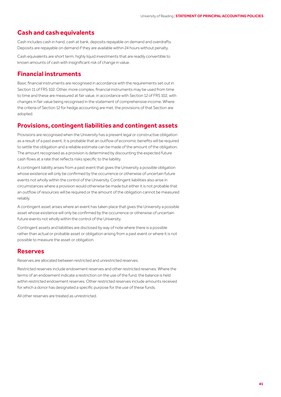#### **Cash and cash equivalents**

Cash includes cash in hand, cash at bank, deposits repayable on demand and overdrafts. Deposits are repayable on demand if they are available within 24 hours without penalty.

Cash equivalents are short term, highly liquid investments that are readily convertible to known amounts of cash with insignificant risk of change in value.

#### **Financial instruments**

Basic financial instruments are recognised in accordance with the requirements set out in Section 11 of FRS 102. Other, more complex, financial instruments may be used from time to time and these are measured at fair value, in accordance with Section 12 of FRS 102, with changes in fair value being recognised in the statement of comprehensive income. Where the criteria of Section 12 for hedge accounting are met, the provisions of that Section are adopted.

#### **Provisions, contingent liabilities and contingent assets**

Provisions are recognised when the University has a present legal or constructive obligation as a result of a past event, it is probable that an outflow of economic benefits will be required to settle the obligation and a reliable estimate can be made of the amount of the obligation. The amount recognised as a provision is determined by discounting the expected future cash flows at a rate that reflects risks specific to the liability.

A contingent liability arises from a past event that gives the University a possible obligation whose existence will only be confirmed by the occurrence or otherwise of uncertain future events not wholly within the control of the University. Contingent liabilities also arise in circumstances where a provision would otherwise be made but either it is not probable that an outflow of resources will be required or the amount of the obligation cannot be measured reliably.

A contingent asset arises where an event has taken place that gives the University a possible asset whose existence will only be confirmed by the occurrence or otherwise of uncertain future events not wholly within the control of the University.

Contingent assets and liabilities are disclosed by way of note where there is a possible rather than actual or probable asset or obligation arising from a past event or where it is not possible to measure the asset or obligation.

#### **Reserves**

Reserves are allocated between restricted and unrestricted reserves.

Restricted reserves include endowment reserves and other restricted reserves. Where the terms of an endowment indicate a restriction on the use of the fund, the balance is held within restricted endowment reserves. Other restricted reserves include amounts received for which a donor has designated a specific purpose for the use of these funds.

All other reserves are treated as unrestricted.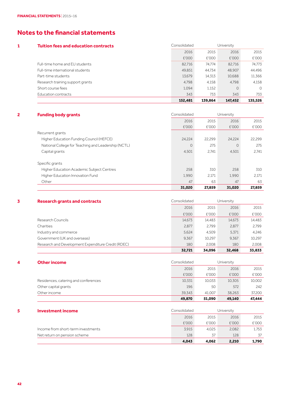#### **Notes to the financial statements**

| <b>Tuition fees and education contracts</b> | Consolidated |         | University |          |
|---------------------------------------------|--------------|---------|------------|----------|
|                                             | 2016         | 2015    | 2016       | 2015     |
|                                             | £'000        | £'000   | £'000      | £'000    |
| Full-time home and EU students              | 82,716       | 74.774  | 82,716     | 74.773   |
| Full-time international students            | 49.851       | 44.734  | 48.907     | 44.496   |
| Part-time students                          | 13.679       | 14.313  | 10.688     | 11,366   |
| Research training support grants            | 4.798        | 4.158   | 4.798      | 4.158    |
| Short course fees                           | 1.094        | 1.152   | 0          | $\Omega$ |
| Education contracts                         | 343          | 733     | 343        | 733      |
|                                             | 152,481      | 139.864 | 147.452    | 135,526  |

| 2 | <b>Funding body grants</b>                          | Consolidated |        | University |        |
|---|-----------------------------------------------------|--------------|--------|------------|--------|
|   |                                                     | 2016         | 2015   | 2016       | 2015   |
|   |                                                     | £'000        | £'000  | £'000      | £'000  |
|   | Recurrent grants                                    |              |        |            |        |
|   | Higher Education Funding Council (HEFCE)            | 24,224       | 22.299 | 24.224     | 22.299 |
|   | National College for Teaching and Leadership (NCTL) | $\circ$      | 275    | $\Omega$   | 275    |
|   | Capital grants                                      | 4,501        | 2.741  | 4.501      | 2.741  |
|   | Specific grants                                     |              |        |            |        |
|   | Higher Education Academic Subject Centres           | 258          | 310    | 258        | 310    |
|   | Higher Education Innovation Fund                    | 1,990        | 2.171  | 1,990      | 2.171  |
|   | Other                                               | 47           | 63     | 47         | 63     |
|   |                                                     | 31,020       | 27,859 | 31,020     | 27,859 |

| 3 | <b>Research grants and contracts</b>               | Consolidated |        | University |        |
|---|----------------------------------------------------|--------------|--------|------------|--------|
|   |                                                    | 2016         | 2015   | 2016       | 2015   |
|   |                                                    | £'000        | £'000  | £'000      | £'000  |
|   | Research Councils                                  | 14,673       | 14.483 | 14,673     | 14,483 |
|   | Charities                                          | 2.877        | 2.799  | 2.877      | 2.799  |
|   | Industry and commerce                              | 5.624        | 4.509  | 5.371      | 4.246  |
|   | Government (UK and overseas)                       | 9.367        | 10.297 | 9.367      | 10.297 |
|   | Research and Development Expenditure Credit (RDEC) | 180          | 2.008  | 180        | 2.008  |
|   |                                                    | 32.721       | 34.096 | 32.468     | 33.833 |

| 4 | <b>Other income</b>                  | Consolidated |        | University |        |
|---|--------------------------------------|--------------|--------|------------|--------|
|   |                                      | 2016         | 2015   | 2016       | 2015   |
|   |                                      | £'000        | £'000  | £'000      | £'000  |
|   | Residences, catering and conferences | 10.331       | 10.033 | 10,305     | 10,002 |
|   | Other capital grants                 | 196          | 50     | 572        | 242    |
|   | Other income                         | 39.343       | 41.007 | 38.263     | 37,200 |
|   |                                      | 49,870       | 51.090 | 49.140     | 47.444 |

| Investment income                  | Consolidated |       | University |       |
|------------------------------------|--------------|-------|------------|-------|
|                                    | 2016         | 2015  | 2016       | 2015  |
|                                    | £'000        | £'000 | £'000      | £'000 |
| Income from short-term investments | 3.915        | 4.025 | 2,082      | 1,753 |
| Net return on pension scheme       | 128          | 37    | 128        | 37    |
|                                    | 4.043        | 4.062 | 2,210      | 1.790 |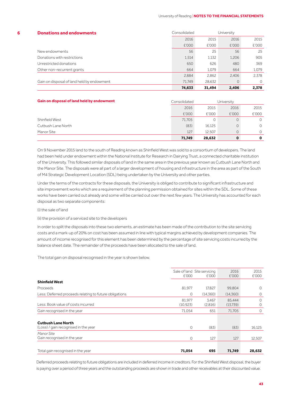#### University of Reading | **NOTES TO THE FINANCIAL STATEMENTS**

| 6 | <b>Donations and endowments</b>            | Consolidated |        | University |         |
|---|--------------------------------------------|--------------|--------|------------|---------|
|   |                                            | 2016         | 2015   | 2016       | 2015    |
|   |                                            | £'000        | £'000  | £'000      | £'000   |
|   | New endowments                             | 56           | 25     | 56         | 25      |
|   | Donations with restrictions                | 1,514        | 1.132  | 1,206      | 905     |
|   | Unrestricted donations                     | 650          | 626    | 480        | 369     |
|   | Other non-recurrent grants                 | 664          | 1.079  | 664        | 1.079   |
|   |                                            | 2.884        | 2.862  | 2.406      | 2.378   |
|   | Gain on disposal of land held by endowment | 71.749       | 28,632 | 0          | $\circ$ |
|   |                                            | 74,633       | 31,494 | 2.406      | 2.378   |

| Gain on disposal of land held by endowment | Consolidated |        | University |          |
|--------------------------------------------|--------------|--------|------------|----------|
|                                            | 2016         | 2015   | 2016       | 2015     |
|                                            | £'000        | £'000  | £'000      | £'000    |
| Shinfield West                             | 71.705       | 0      | 0          | 0        |
| Cutbush Lane North                         | (83)         | 16,125 | $\Omega$   | $\Omega$ |
| Manor Site                                 | 127          | 12.507 | 0          |          |
|                                            | 71.749       | 28.632 | 0          | 0        |

On 9 November 2015 land to the south of Reading known as Shinfield West was sold to a consortium of developers. The land had been held under endowment within the National Institute for Research in Dairying Trust, a connected charitable institution of the University. This followed similar disposals of land in the same area in the previous year known as Cutbush Lane North and the Manor Site. The disposals were all part of a larger development of housing and infrastructure in the area as part of the South of M4 Strategic Development Location (SDL) being undertaken by the University and other parties. 

Under the terms of the contracts for these disposals, the University is obliged to contribute to significant infrastructure and site improvement works which are a requirement of the planning permission obtained for sites within the SDL. Some of these works have been carried out already and some will be carried out over the next few years. The University has accounted for each disposal as two separate components: 

(i) the sale of land 

(ii) the provision of a serviced site to the developers 

In order to split the disposals into these two elements, an estimate has been made of the contribution to the site servicing costs and a mark-up of 20% on cost has been assumed in line with typical margins achieved by development companies. The amount of income recognised for this element has been determined by the percentage of site servicing costs incurred by the balance sheet date. The remainder of the proceeds have been allocated to the sale of land. 

The total gain on disposal recognised in the year is shown below.

| Total gain recognised in the year                                 | 71,054                      | 695              | 71,749             | 28,632        |
|-------------------------------------------------------------------|-----------------------------|------------------|--------------------|---------------|
|                                                                   | $\circ$                     | 127              | 127                | 12,507        |
| Manor Site<br>Gain recognised in the year                         |                             |                  |                    |               |
| <b>Cutbush Lane North</b><br>(Loss) / gain recognised in the year | $\circ$                     | (83)             | (83)               | 16,125        |
| Gain recognised in the year                                       | 71.054                      | 651              | 71,705             | 0             |
| Less: Book value of costs incurred                                | 81.977<br>(10.923)          | 3.467<br>(2,816) | 85.444<br>(13.739) | $\Omega$<br>0 |
| Less: Deferred proceeds relating to future obligations            | 0                           | (14,360)         | (14, 360)          | $\circ$       |
| Proceeds                                                          | 81,977                      | 17,827           | 99,804             | 0             |
| <b>Shinfield West</b>                                             |                             |                  |                    |               |
|                                                                   | £'000                       | £'000            | £'000              | £'000         |
|                                                                   | Sale of land Site servicing |                  | 2016               | 2015          |

Deferred proceeds relating to future obligations are included in deferred income in creditors. For the Shinfield West disposal, the buyer is paying over a period of three years and the outstanding proceeds are shown in trade and other receivables at their discounted value.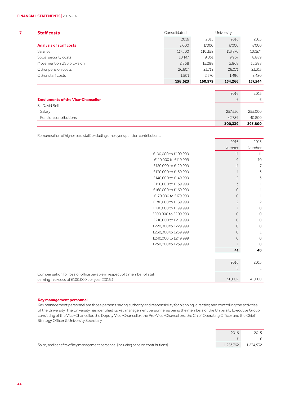| <b>Staff costs</b>             | Consolidated |         | University |         |
|--------------------------------|--------------|---------|------------|---------|
|                                | 2016         | 2015    | 2016       | 2015    |
| <b>Analysis of staff costs</b> | £'000        | £'000   | £'000      | £'000   |
| <b>Salaries</b>                | 117,500      | 110,358 | 113,870    | 107.574 |
| Social security costs          | 10,147       | 9.051   | 9.967      | 8.889   |
| Movement on USS provision      | 2.868        | 15.288  | 2.868      | 15,288  |
| Other pension costs            | 26,607       | 23,712  | 26,071     | 23,313  |
| Other staff costs              | 1,501        | 2.570   | 1,490      | 2,480   |
|                                | 158,623      | 160,979 | 154,266    | 157,544 |

|                                          | 300,339      | 295,800 |
|------------------------------------------|--------------|---------|
| Pension contributions                    | 42.789       | 40,800  |
| Salary                                   | 257,550      | 255,000 |
| Sir David Bell:                          |              |         |
| <b>Emoluments of the Vice-Chancellor</b> | $\mathbf{r}$ |         |
|                                          | 2016         | 2015    |

Remuneration of higher paid staff, excluding employer's pension contributions:

|                                                                         | 2016           | 2015           |
|-------------------------------------------------------------------------|----------------|----------------|
|                                                                         | Number         | Number         |
| £100,000 to £109,999                                                    | 11             | 11             |
| £110,000 to £119,999                                                    | 9              | 10             |
| £120,000 to £129,999                                                    | 11             | $\overline{7}$ |
| £130,000 to £139,999                                                    | 1              | $\mathfrak Z$  |
| £140,000 to £149,999                                                    | $\overline{c}$ | 3              |
| £150,000 to £159,999                                                    | $\mathsf 3$    | $\mathbf{1}$   |
| £160,000 to £169,999                                                    | $\circ$        | $\mathbf{1}$   |
| £170,000 to £179,999                                                    | $\circ$        | $\mathbf{1}$   |
| £180,000 to £189,999                                                    | $\overline{c}$ | 2              |
| £190,000 to £199,999                                                    | 1              | $\circ$        |
| £200,000 to £209,999                                                    | 0              | $\circ$        |
| £210,000 to £219,999                                                    | $\circ$        | $\circ$        |
| £220,000 to £229,999                                                    | 0              | $\circ$        |
| £230,000 to £239,999                                                    | 0              | 1              |
| £240,000 to £249,999                                                    | $\circ$        | $\circ$        |
| £250,000 to £259.999                                                    | $\mathbf{1}$   | $\circ$        |
|                                                                         | 41             | 40             |
|                                                                         |                |                |
|                                                                         | 2016           | 2015           |
|                                                                         | £              | E              |
| Compensation for loss of office payable in respect of 1 member of staff |                |                |
| earning in excess of £100,000 per year (2015:1)                         | 50,002         | 45,000         |

#### **Key management personnel**

Key management personnel are those persons having authority and responsibility for planning, directing and controlling the activities of the University. The University has identified its key management personnel as being the members of the University Executive Group consisting of the Vice-Chancellor, the Deputy Vice-Chancellor, the Pro-Vice-Chancellors, the Chief Operating Officer and the Chief Strategy Officer & University Secretary.

|                                                                                   | 2016 | 2015                |
|-----------------------------------------------------------------------------------|------|---------------------|
|                                                                                   |      |                     |
| Salary and benefits of key management personnel (including pension contributions) |      | 1,253,762 1,234,532 |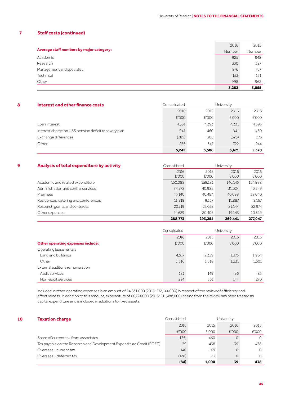#### **7 Staff costs (continued)**

|                                          | 2016   | 2015   |
|------------------------------------------|--------|--------|
| Average staff numbers by major category: | Number | Number |
| Academic                                 | 925    | 848    |
| Research                                 | 330    | 327    |
| Management and specialist                | 876    | 767    |
| Technical                                | 153    | 151    |
| Other                                    | 998    | 962    |
|                                          | 3,282  | 3,055  |

| 8 | Interest and other finance costs                     | Consolidated |       | University |       |
|---|------------------------------------------------------|--------------|-------|------------|-------|
|   |                                                      | 2016         | 2015  | 2016       | 2015  |
|   |                                                      | £'000        | £'000 | £'000      | £'000 |
|   | Loan interest                                        | 4.331        | 4.393 | 4,331      | 4.393 |
|   | Interest charge on USS pension deficit recovery plan | 941          | 460   | 941        | 460   |
|   | Exchange differences                                 | (285)        | 306   | (323)      | 273   |
|   | Other                                                | 255          | 347   | 722        | 244   |
|   |                                                      | 5,242        | 5,506 | 5,671      | 5,370 |

| 9 | Analysis of total expenditure by activity | Consolidated |         | University |         |
|---|-------------------------------------------|--------------|---------|------------|---------|
|   |                                           | 2016         | 2015    | 2016       | 2015    |
|   |                                           | £'000        | £'000   | £'000      | £'000   |
|   | Academic and related expenditure          | 150,088      | 159,181 | 146,145    | 154,988 |
|   | Administration and central services       | 34,278       | 40,985  | 31,024     | 40,549  |
|   | Premises                                  | 45.140       | 40.484  | 40.098     | 39,040  |
|   | Residences, catering and conferences      | 11,919       | 9.167   | 11.887     | 9.167   |
|   | Research grants and contracts             | 22.719       | 23.032  | 21.144     | 22.974  |
|   | Other expenses                            | 24,629       | 20.405  | 19.143     | 10,329  |
|   |                                           | 288,773      | 293,254 | 269.441    | 277,047 |

|                                          | Consolidated | University |       |       |  |
|------------------------------------------|--------------|------------|-------|-------|--|
|                                          | 2016         | 2015       | 2016  | 2015  |  |
| <b>Other operating expenses include:</b> | £'000        | £'000      | £'000 | £'000 |  |
| Operating lease rentals                  |              |            |       |       |  |
| Land and buildings                       | 4.517        | 2.329      | 1.375 | 1.964 |  |
| Other                                    | 1.316        | 1.618      | 1,231 | 1.601 |  |
| External auditor's remuneration          |              |            |       |       |  |
| Audit services                           | 181          | 149        | 96    | 85    |  |
| Non-audit services                       | 224          | 361        | 144   | 270   |  |

Included in other operating expenses is an amount of £4,831,000 (2015: £12,144,000) in respect of the review of efficiency and effectiveness. In addition to this amount, expenditure of £6,724,000 (2015: £11,488,000) arising from the review has been treated as capital expenditure and is included in additions to fixed assets.

| 10 | <b>Taxation charge</b>                                                | Consolidated |       | University |          |
|----|-----------------------------------------------------------------------|--------------|-------|------------|----------|
|    |                                                                       | 2016         | 2015  | 2016       | 2015     |
|    |                                                                       | £'000        | £'000 | £'000      | £'000    |
|    | Share of current tax from associates                                  | (135)        | 460   |            | $\Omega$ |
|    | Tax payable on the Research and Development Expenditure Credit (RDEC) | 39           | 438   | 39         | 438      |
|    | Overseas - current tax                                                | 140          | 169   |            | $\Omega$ |
|    | Overseas - deferred tax                                               | (128)        | 23    |            | $\Omega$ |
|    |                                                                       | (84)         | 1.090 | 39         | 438      |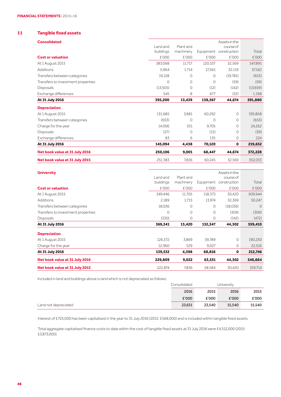#### **11 Tangible fixed assets ib**

| <b>Consolidated</b>                | Land and  | Plant and |         | Assets in the<br>course of |           |
|------------------------------------|-----------|-----------|---------|----------------------------|-----------|
|                                    | buildings | machinery |         | Equipment construction     | Total     |
| <b>Cost or valuation</b>           | £'000     | £'000     | £'000   | £'000                      | £'000     |
| At 1 August 2015                   | 383,068   | 11,717    | 120,537 | 32,569                     | 547,891   |
| Additions                          | 5.964     | 1,714     | 17.365  | 32,119                     | 57,162    |
| Transfers between categories       | 19,128    | 0         | 0       | (19.781)                   | (653)     |
| Transfers to investment properties | 0         | 0         | 0       | (59)                       | (59)      |
| <b>Disposals</b>                   | (13,505)  | 0         | (12)    | (142)                      | (13, 659) |
| Exchange differences               | 545       | 8         | 677     | (32)                       | 1.198     |
| At 31 July 2016                    | 395,200   | 13,439    | 138,567 | 44,674                     | 591,880   |
| <b>Depreciation</b>                |           |           |         |                            |           |
| At 1 August 2015                   | 131,685   | 3.881     | 60,292  | 0                          | 195,858   |
| Transfers between categories       | (653)     | 0         | 0       | 0                          | (653)     |
| Charge for the year                | 14,006    | 551       | 9.705   | $\circ$                    | 24,262    |
| <b>Disposals</b>                   | (27)      | 0         | (12)    | 0                          | (39)      |
| Exchange differences               | 83        | 6         | 135     | 0                          | 224       |
| At 31 July 2016                    | 145,094   | 4,438     | 70,120  | 0                          | 219,652   |
| Net book value at 31 July 2016     | 250,106   | 9,001     | 68,447  | 44,674                     | 372,228   |
| Net book value at 31 July 2015     | 251,383   | 7,836     | 60,245  | 32,569                     | 352.033   |

| <b>University</b>                  | Land and<br>buildings | Plant and<br>machinery | Equipment | Assets in the<br>course of<br>construction | Total   |
|------------------------------------|-----------------------|------------------------|-----------|--------------------------------------------|---------|
| <b>Cost or valuation</b>           | £'000                 | £'000                  | £'000     | £'000                                      | £'000   |
| At 1 August 2015                   | 349.446               | 11.705                 | 118,373   | 30,420                                     | 509.944 |
| <b>Additions</b>                   | 2.189                 | 1,715                  | 13.974    | 32,369                                     | 50,247  |
| Transfers between categories       | 18.036                | 0                      | 0         | (18.036)                                   | $\circ$ |
| Transfers to investment properties | 0                     | 0                      | 0         | (309)                                      | (309)   |
| <b>Disposals</b>                   | (330)                 | $\Omega$               | 0         | (142)                                      | (472)   |
| At 31 July 2016                    | 369,341               | 13,420                 | 132,347   | 44,302                                     | 559,410 |
| <b>Depreciation</b>                |                       |                        |           |                                            |         |
| At 1 August 2015                   | 126,572               | 3.869                  | 59,789    | 0                                          | 190,230 |
| Charge for the year                | 12,960                | 529                    | 9.027     | 0                                          | 22,516  |
| At 31 July 2016                    | 139,532               | 4,398                  | 68,816    | $\mathbf{o}$                               | 212,746 |
| Net book value at 31 July 2016     | 229,809               | 9,022                  | 63,531    | 44,302                                     | 346,664 |
| Net book value at 31 July 2015     | 222,874               | 7,836                  | 58,584    | 30.420                                     | 319,714 |

Included in land and buildings above is land which is not depreciated as follows:

|                      | Consolidated |        | University |        |
|----------------------|--------------|--------|------------|--------|
|                      | 2016         | 2015   | 2016       | 2015   |
|                      | E'000        | £'000  | £'000      | £'000  |
| Land not depreciated | 23,631       | 23.540 | 15,540     | 15,540 |

Interest of £725,000 has been capitalised in the year to 31 July 2016 (2015: £568,000) and is included within tangible fixed assets.

Total aggregate capitalised finance costs to date within the cost of tangible fixed assets at 31 July 2016 were £4,512,000 (2015: £3,873,000).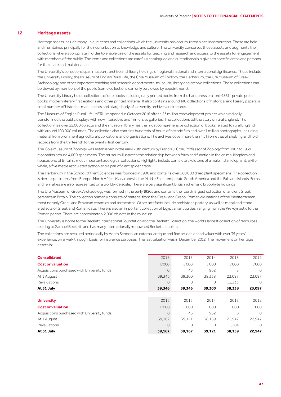#### **12 Heritage assets**

Heritage assets include many unique items and collections which the University has accumulated since incorporation. These are held and maintained principally for their contribution to knowledge and culture. The University conserves these assets and augments the collections where appropriate in order to enable use of the assets for teaching and research and access to the assets for engagement with members of the public. The items and collections are carefully catalogued and custodianship is given to specific areas and persons for their care and maintenance. 

The University's collections span museum, archive and library holdings of regional, national and international significance. These include the University Library, the Museum of English Rural Life, the Cole Museum of Zoology, the Herbarium, the Ure Museum of Greek Archaeology, and other important teaching and research departmental museum, library and archive collections. These collections can be viewed by members of the public (some collections can only be viewed by appointment). 

The University Library holds collections of rare books including early printed books from the handpress era (pre-1851), private press books, modern literary first editions and other printed material. It also contains around 140 collections of historical and literary papers, a small number of historical manuscripts and a large body of University archives and records. 

The Museum of English Rural Life (MERL) reopened in October 2016 after a £3 million redevelopment project which radically transformed the public displays with new interactive and immersive galleries. The collections tell the story of rural England. The collection has over 25,000 objects and the museum library has the most comprehensive collection of books related to rural England with around 100,000 volumes. The collection also contains hundreds of hours of historic film and over 1 million photographs, including material from prominent agricultural publications and organisations. The archives cover more than 4.5 kilometres of shelving and hold records from the thirteenth to the twenty-first century. 

The Cole Museum of Zoology was established in the early 20th century by Francis J. Cole, Professor of Zoology from 1907 to 1939. It contains around 4,000 specimens. The museum illustrates the relationship between form and function in the animal kingdom and houses one of Britain's most important zoological collections. Highlights include complete skeletons of a male Indian elephant, a killer whale, a five metre reticulated python and a pair of giant spider crabs. 

The Herbarium in the School of Plant Sciences was founded in 1900 and contains over 260,000 dried plant specimens. The collection is rich in specimens from Europe, North Africa, Macaronesia, the Middle East, temperate South America and the Falkland Islands. Ferns and fern allies are also represented on a worldwide scale. There are very significant British lichen and bryophyte holdings

The Ure Museum of Greek Archaeology was formed in the early 1920s and contains the fourth largest collection of ancient Greek ceramics in Britain. The collection primarily consists of material from the Greek and Greco-Roman civilisations of the Mediterranean, most notably Greek and Etruscan ceramics and terracottas. Other artefacts include prehistoric pottery, as well as metal and stone artefacts of Greek and Roman date. There is also an important collection of Egyptian antiquities, ranging from the Pre-dynastic to the Roman period. There are approximately 2,000 objects in the museum.

The University is home to the Beckett International Foundation and the Beckett Collection, the world's largest collection of resources relating to Samuel Beckett, and has many internationally-renowned Beckett scholars.

The collections are revalued periodically by Adam Schoon, an external antique and fine art dealer and valuer with over 35 years' experience, on a 'walk through' basis for insurance purposes. The last valuation was in December 2012. The movement on heritage assets is:

| <b>Consolidated</b>                          | 2016     | 2015     | 2014   | 2013   | 2012     |
|----------------------------------------------|----------|----------|--------|--------|----------|
| <b>Cost or valuation</b>                     | £'000    | £'000    | £'000  | £'000  | £'000    |
| Acquisitions purchased with University funds | $\Omega$ | 46       | 962    | 8      | $\Omega$ |
| At 1 August                                  | 39.346   | 39,300   | 38.338 | 23,097 | 23,097   |
| Revaluations                                 | $\circ$  | 0        | 0      | 15,233 | $\circ$  |
| At 31 July                                   | 39,346   | 39,346   | 39,300 | 38,338 | 23,097   |
|                                              |          |          |        |        |          |
| <b>University</b>                            | 2016     | 2015     | 2014   | 2013   | 2012     |
| <b>Cost or valuation</b>                     | £'000    | £'000    | £'000  | £'000  | £'000    |
| Acquisitions purchased with University funds | $\Omega$ | 46       | 962    | 8      | $\Omega$ |
| At 1 August                                  | 39,167   | 39,121   | 38.159 | 22,947 | 22,947   |
| Revaluations                                 | $\Omega$ | $\Omega$ | 0      | 15.204 | $\Omega$ |
| At 31 July                                   | 39,167   | 39,167   | 39,121 | 38,159 | 22,947   |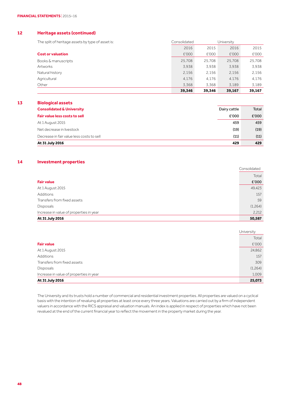#### **12 Heritage assets (continued)**

The split of heritage assets by type of asset is: Consolidated University

| The oping of the neage about by type or about ib. | oon isomaatoa | ----------- |        |        |
|---------------------------------------------------|---------------|-------------|--------|--------|
|                                                   | 2016          | 2015        | 2016   | 2015   |
| <b>Cost or valuation</b>                          | £'000         | £'000       | £'000  | £'000  |
| Books & manuscripts                               | 25,708        | 25.708      | 25.708 | 25,708 |
| Artworks                                          | 3.938         | 3.938       | 3.938  | 3.938  |
| Natural history                                   | 2.156         | 2.156       | 2.156  | 2.156  |
| Agricultural                                      | 4.176         | 4.176       | 4.176  | 4.176  |
| Other                                             | 3.368         | 3.368       | 3.189  | 3.189  |
|                                                   | 39,346        | 39.346      | 39,167 | 39,167 |

#### **13 Biological assets**

| <b>Consolidated &amp; University</b>      | Dairy cattle | Total |
|-------------------------------------------|--------------|-------|
| <b>Fair value less costs to sell</b>      | £'000        | £'000 |
| At 1 August 2015                          | 459          | 459   |
| Net decrease in livestock                 | (19)         | (19)  |
| Decrease in fair value less costs to sell | (11)         | (11)  |
| At 31 July 2016                           | 429          | 429   |

#### **14 Investment properties**

|                                         | Consolidated |
|-----------------------------------------|--------------|
|                                         | Total        |
| <b>Fair value</b>                       | £'000        |
| At 1 August 2015                        | 49,423       |
| Additions                               | 157          |
| Transfers from fixed assets             | 59           |
| Disposals                               | (1,264)      |
| Increase in value of properties in year | 2,212        |
| At 31 July 2016                         | 50,587       |

|                                         | University |
|-----------------------------------------|------------|
|                                         | Total      |
| <b>Fair value</b>                       | £'000      |
| At 1 August 2015                        | 24,862     |
| Additions                               | 157        |
| Transfers from fixed assets             | 309        |
| <b>Disposals</b>                        | (1,264)    |
| Increase in value of properties in year | 1,009      |
| At 31 July 2016                         | 25,073     |

The University and its trusts hold a number of commercial and residential investment properties. All properties are valued on a cyclical basis with the intention of revaluing all properties at least once every three years. Valuations are carried out by a firm of independent valuers in accordance with the RICS appraisal and valuation manuals. An index is applied in respect of properties which have not been revalued at the end of the current financial year to reflect the movement in the property market during the year.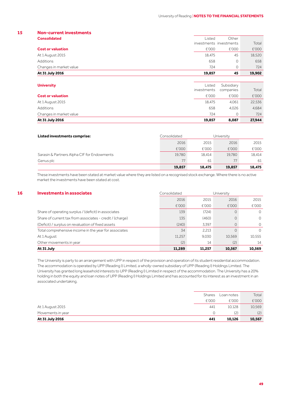#### **15 Non-current investments**

| At 31 July 2016          | 19,857                  | 45       | 19,902 |
|--------------------------|-------------------------|----------|--------|
|                          |                         |          |        |
| Changes in market value  | 724                     | $\Omega$ | 724    |
| Additions                | 658                     | 0        | 658    |
| At 1 August 2015         | 18.475                  | 45       | 18,520 |
| <b>Cost or valuation</b> | £'000                   | £'000    | £'000  |
|                          | investments investments |          | Total  |
| <b>Consolidated</b>      | Listed                  | Other    |        |

| <b>University</b>        | Listed      | Subsidiary |        |
|--------------------------|-------------|------------|--------|
|                          | investments | companies  | Total  |
| <b>Cost or valuation</b> | £'000       | £'000      | £'000  |
| At 1 August 2015         | 18,475      | 4,061      | 22,536 |
| Additions                | 658         | 4.026      | 4,684  |
| Changes in market value  | 724         | 0          | 724    |
| At 31 July 2016          | 19,857      | 8,087      | 27,944 |

| Listed investments comprise:                | Consolidated<br>University |        |        |        |
|---------------------------------------------|----------------------------|--------|--------|--------|
|                                             | 2016                       | 2015   | 2016   | 2015   |
|                                             | £'000                      | £'000  | £'000  | £'000  |
| Sarasin & Partners Alpha CIF for Endowments | 19.780                     | 18.414 | 19.780 | 18,414 |
| Genus plc                                   | 77                         | 61     | 77     | 61     |
|                                             | 19,857                     | 18,475 | 19,857 | 18,475 |

These investments have been stated at market value where they are listed on a recognised stock exchange. Where there is no active market the investments have been stated at cost. 

| 16 | <b>Investments in associates</b>                         | Consolidated |        | University |          |
|----|----------------------------------------------------------|--------------|--------|------------|----------|
|    |                                                          | 2016         | 2015   | 2016       | 2015     |
|    |                                                          | £'000        | £'000  | £'000      | £'000    |
|    | Share of operating surplus / (deficit) in associates     | 139          | (724)  | $\circ$    | $\Omega$ |
|    | Share of current tax from associates - credit / (charge) | 135          | (460)  | $\circ$    | $\circ$  |
|    | (Deficit) / surplus on revaluation of fixed assets       | (240)        | 3.397  | $\circ$    | $\circ$  |
|    | Total comprehensive income in the year for associates    | 34           | 2.213  | 0          | $\Omega$ |
|    | At 1 August                                              | 11,257       | 9.030  | 10.569     | 10.555   |
|    | Other movements in year                                  | (2)          | 14     | (2)        | 14       |
|    | At 31 July                                               | 11,289       | 11,257 | 10,567     | 10,569   |

The University is party to an arrangement with UPP in respect of the provision and operation of its student residential accommodation. The accommodation is operated by UPP (Reading I) Limited, a wholly-owned subsidiary of UPP (Reading I) Holdings Limited. The University has granted long leasehold interests to UPP (Reading I) Limited in respect of the accommodation. The University has a 20% holding in both the equity and loan notes of UPP (Reading I) Holdings Limited and has accounted for its interest as an investment in an associated undertaking. 

| At 31 July 2016   |               |            |        |
|-------------------|---------------|------------|--------|
| Movements in year |               | (2)        | (2)    |
| At 1 August 2015  | 441           | 10,128     | 10.569 |
|                   | £'000         | £'000      | £'000  |
|                   | <b>Shares</b> | Loan notes | Total  |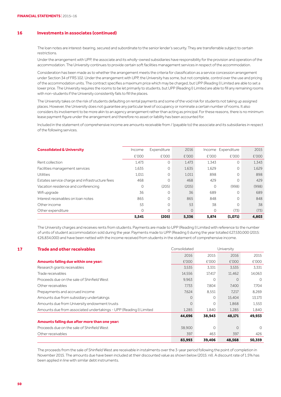#### **16 Investments in associates (continued)**

The loan notes are interest-bearing, secured and subordinate to the senior lender's security. They are transferrable subject to certain restrictions.

Under the arrangement with UPP, the associate and its wholly-owned subsidiaries have responsibility for the provision and operation of the accommodation. The University continues to provide certain soft facilities management services in respect of the accommodation. 

Consideration has been made as to whether the arrangement meets the criteria for classification as a service concession arrangement under Section 34 of FRS 102. Under the arrangement with UPP, the University has some, but not complete, control over the use and pricing of the accommodation units. The contract specifies a maximum price which may be charged, but UPP (Reading I) Limited are able to set a lower price. The University requires the rooms to be let primarily to students, but UPP (Reading I) Limited are able to fill any remaining rooms with non-students if the University consistently fails to fill the places.

The University takes on the risk of students defaulting on rental payments and some of the void risk for students not taking up assigned places. However, the University does not guarantee any particular level of occupancy or nominate a certain number of rooms. It also considers its involvement to be more akin to an agency arrangement rather than acting as principal. For these reasons, there is no minimum lease payment figure under the arrangement and therefore no asset or liability has been accounted for.

Included in the statement of comprehensive income are amounts receivable from /(payable to) the associate and its subsidiaries in respect of the following services.

| <b>Consolidated &amp; University</b>           | Income  | Expenditure | 2016     |         | Income Expenditure | 2015  |
|------------------------------------------------|---------|-------------|----------|---------|--------------------|-------|
|                                                | £'000   | £'000       | £'000    | £'000   | £'000              | £'000 |
| Rent collection                                | 1.473   | 0           | 1.473    | 1.343   | 0                  | 1,343 |
| Facilities management services                 | 1.635   | 0           | 1,635    | 1,629   | 0                  | 1,629 |
| Utilities                                      | 1.011   | 0           | 1.011    | 898     | 0                  | 898   |
| Estates service charge and infrastructure fees | 468     | $\Omega$    | 468      | 429     | 0                  | 429   |
| Vacation residence and conferencing            | $\circ$ | (205)       | (205)    | $\circ$ | (998)              | (998) |
| Wifi upgrade                                   | 36      | $\Omega$    | 36       | 689     | $\Omega$           | 689   |
| Interest receivables on loan notes             | 865     | $\Omega$    | 865      | 848     | $\Omega$           | 848   |
| Other income                                   | 53      | $\Omega$    | 53       | 38      | $\circ$            | 38    |
| Other expenditure                              | $\circ$ | $\Omega$    | $\Omega$ | 0       | (73)               | (73)  |
|                                                | 5,541   | (205)       | 5,336    | 5,874   | (1,071)            | 4,803 |

The University charges and receives rents from students. Payments are made to UPP (Reading I) Limited with reference to the number of units of student accommodation sold during the year. Payments made to UPP (Reading I) during the year totalled £27,530,000 (2015: £26,834,000) and have been netted with the income received from students in the statement of comprehensive income. 

| <b>Trade and other receivables</b>                                 | Consolidated |         | University |          |
|--------------------------------------------------------------------|--------------|---------|------------|----------|
|                                                                    | 2016         | 2015    | 2016       | 2015     |
| Amounts falling due within one year:                               | £'000        | £'000   | £'000      | £'000    |
| Research grants receivables                                        | 3.535        | 3.331   | 3.535      | 3.331    |
| Trade receivables                                                  | 14,556       | 17,417  | 11,462     | 14,063   |
| Proceeds due on the sale of Shinfield West                         | 9.963        | $\circ$ | $\Omega$   | $\Omega$ |
| Other receivables                                                  | 7,733        | 7,804   | 7,400      | 7,704    |
| Prepayments and accrued income                                     | 7,624        | 8.551   | 7,217      | 8,269    |
| Amounts due from subsidiary undertakings                           | $\Omega$     | $\circ$ | 15,404     | 13.173   |
| Amounts due from University endowment trusts                       | $\Omega$     | $\circ$ | 1,868      | 1,553    |
| Amounts due from associated undertakings - UPP (Reading I) Limited | 1,285        | 1,840   | 1,285      | 1,840    |
|                                                                    | 44,696       | 38,943  | 48,171     | 49,933   |
| Amounts falling due after more than one year:                      |              |         |            |          |
| Proceeds due on the sale of Shinfield West                         | 38.900       | $\circ$ | $\Omega$   | $\Omega$ |
| Other receivables                                                  | 397          | 463     | 397        | 426      |
|                                                                    | 83,993       | 39,406  | 48,568     | 50,359   |

The proceeds from the sale of Shinfield West are receivable in instalments over the 3-year period following the point of completion in November 2015. The amounts due have been included at their discounted value as shown below (2015: nil). A discount rate of 1.5% has been applied in line with similar debt instruments.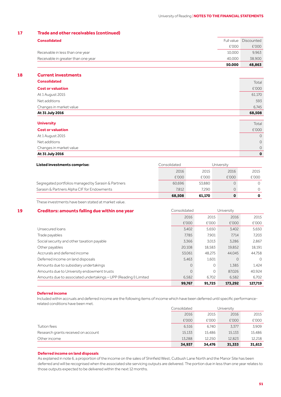#### **17 Trade and other receivables (continued)**

|                                     | £'000  | £'000  |
|-------------------------------------|--------|--------|
| Receivable in less than one year    | 10.000 | 9.963  |
| Receivable in greater than one year | 40.000 | 38,900 |
|                                     | 50,000 | 48.863 |

## **18 Current investments**

| <b>Consolidated</b>      | Total       |
|--------------------------|-------------|
| <b>Cost or valuation</b> | £'000       |
| At 1 August 2015         | 61,170      |
| Net additions            | 593         |
| Changes in market value  | 6.745       |
| At 31 July 2016          | 68,508      |
|                          |             |
| <b>University</b>        | Total       |
| <b>Cost or valuation</b> | £'000       |
| At 1 August 2015         | $\circ$     |
| Net additions            | $\circ$     |
| Changes in market value  | $\circ$     |
| At 31 July 2016          | $\mathbf 0$ |

| Listed investments comprise:                        | Consolidated<br>University |        |       |       |
|-----------------------------------------------------|----------------------------|--------|-------|-------|
|                                                     | 2016                       | 2015   | 2016  | 2015  |
|                                                     | £'000                      | £'000  | f'000 | £'000 |
| Segregated portfolios managed by Sarasin & Partners | 60.696                     | 53.880 |       |       |
| Sarasin & Partners Alpha CIF for Endowments         | 7.812                      | 7.290  |       |       |
|                                                     | 68.508                     | 61.170 |       |       |

These investments have been stated at market value.

#### **19 <b>Creditors: amounts falling due within one year** Consolidated University

|                                                                  | 99.767   | 91,725  | 173.292  | 127.719  |
|------------------------------------------------------------------|----------|---------|----------|----------|
| Amounts due to associated undertakings - UPP (Reading I) Limited | 6.582    | 6.702   | 6.582    | 6.702    |
| Amounts due to University endowment trusts                       | 0        | 0       | 87.026   | 40.924   |
| Amounts due to subsidiary undertakings                           | $\Omega$ | $\circ$ | 1.385    | 1,424    |
| Deferred income on land disposals                                | 5.463    | 1.601   | $\Omega$ | $\Omega$ |
| Accrurals and deferred income                                    | 53.061   | 48.275  | 44,045   | 44,758   |
| Other payables                                                   | 20,108   | 18,583  | 19.852   | 18.191   |
| Social security and other taxation payable                       | 3.366    | 3.013   | 3.286    | 2.867    |
| Trade payables                                                   | 7.785    | 7.901   | 7.714    | 7,203    |
| Unsecured loans                                                  | 3.402    | 5,650   | 3.402    | 5.650    |
|                                                                  | £'000    | £'000   | £'000    | £'000    |
|                                                                  | 2016     | 2015    | 2016     | 2015     |
|                                                                  |          |         |          |          |

#### **Deferred income**

Included within accruals and deferred income are the following items of income which have been deferred until specific performancerelated conditions have been met.

|                                     | 34,937       | 34,476 | 31,333     | 31,613 |
|-------------------------------------|--------------|--------|------------|--------|
| Other income                        | 13,288       | 12.250 | 12,823     | 12,218 |
| Research grants received on account | 15,133       | 15.486 | 15,133     | 15,486 |
| Tuition fees                        | 6.516        | 6.740  | 3.377      | 3.909  |
|                                     | £'000        | £'000  | £'000      | £'000  |
|                                     | 2016         | 2015   | 2016       | 2015   |
|                                     | Consolidated |        | University |        |

#### **Deferred income on land disposals**

As explained in note 6, a proportion of the income on the sales of Shinfield West, Cutbush Lane North and the Manor Site has been deferred and will be recognised when the associated site servicing outputs are delivered. The portion due in less than one year relates to those outputs expected to be delivered within the next 12 months.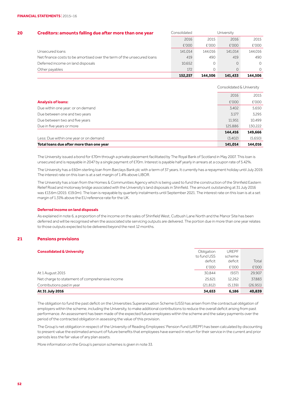#### **20 <b>Creditors: amounts falling due after more than one year** Consolidated University

| £'000<br>£'000<br>£'000<br>141.014<br>Unsecured loans<br>141.014<br>144.016<br>Net finance costs to be amortised over the term of the unsecured loans<br>490<br>419<br>419<br>Deferred income on land disposals<br>10,652<br>$\Omega$<br>172<br>$\Omega$<br>Other payables | 152,257 | 144.506 | 141,433 | 144.506  |
|----------------------------------------------------------------------------------------------------------------------------------------------------------------------------------------------------------------------------------------------------------------------------|---------|---------|---------|----------|
|                                                                                                                                                                                                                                                                            |         |         |         | $\Omega$ |
|                                                                                                                                                                                                                                                                            |         |         |         | $\Omega$ |
|                                                                                                                                                                                                                                                                            |         |         |         | 490      |
|                                                                                                                                                                                                                                                                            |         |         |         | 144.016  |
|                                                                                                                                                                                                                                                                            |         |         |         | £'000    |
| 2016<br>2015<br>2016                                                                                                                                                                                                                                                       |         |         |         | 2015     |

#### Consolidated & University

| Total loans due after more than one year | 141,014 | 144,016 |
|------------------------------------------|---------|---------|
| Less: Due within one year or on demand   | (3,402) | (5,650) |
|                                          | 144,416 | 149,666 |
| Due in five years or more                | 125,886 | 130,222 |
| Due between two and five years           | 11.951  | 10.499  |
| Due between one and two years            | 3.177   | 3.295   |
| Due within one year: or on demand        | 3.402   | 5.650   |
| <b>Analysis of loans:</b>                | £'000   | £'000   |
|                                          | 2016    | 2015    |
|                                          |         |         |

The University issued a bond for £70m through a private placement facilitated by The Royal Bank of Scotland in May 2007. This loan is unsecured and is repayable in 2047 by a single payment of £70m. Interest is payable half yearly in arrears at a coupon rate of 5.42%. 

The University has a £60m sterling loan from Barclays Bank plc with a term of 37 years. It currently has a repayment holiday until July 2019. The interest rate on this loan is at a set margin of 1.4% above LIBOR. 

The University has a loan from the Homes & Communities Agency which is being used to fund the construction of the Shinfield Eastern Relief Road and motorway bridge associated with the University's land disposals in Shinfield. The amount outstanding at 31 July 2016 was £13.6m (2015: £19.0m). The loan is repayable by quarterly instalments until September 2021. The interest rate on this loan is at a set margin of 1.31% above the EU reference rate for the UK. 

#### **Deferred income on land disposals**

As explained in note 6, a proportion of the income on the sales of Shinfield West, Cutbush Lane North and the Manor Site has been deferred and will be recognised when the associated site servicing outputs are delivered. The portion due in more than one year relates to those outputs expected to be delivered beyond the next 12 months. 

#### **21 Pensions provisions**

| <b>Consolidated &amp; University</b>            | Obligation<br>to fund USS<br>deficit | <b>UREPF</b><br>scheme<br>deficit | Total    |
|-------------------------------------------------|--------------------------------------|-----------------------------------|----------|
|                                                 | £'000                                | £'000                             | £'000    |
| At 1 August 2015                                | 30.844                               | (937)                             | 29,907   |
| Net charge to statement of comprehensive income | 25.621                               | 12.262                            | 37.883   |
| Contributions paid in year                      | (21, 812)                            | (5.139)                           | (26.951) |
| At 31 July 2016                                 | 34.653                               | 6,186                             | 40,839   |

The obligation to fund the past deficit on the Universities Superannuation Scheme (USS) has arisen from the contractual obligation of employers within the scheme, including the University, to make additional contributions to reduce the overall deficit arising from past performance. An assessment has been made of the expected future employees within the scheme and the salary payments over the period of the contracted obligation in assessing the value of this provision. 

The Group's net obligation in respect of the University of Reading Employees' Pension Fund (UREPF) has been calculated by discounting to present value the estimated amount of future benefits that employees have earned in return for their service in the current and prior periods less the fair value of any plan assets. 

More information on the Group's pension schemes is given in note 33.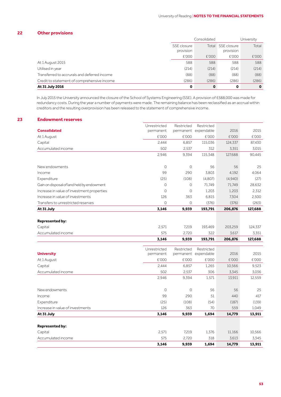#### **22 Other provisions**

|                                              |             | Consolidated | University        |              |  |
|----------------------------------------------|-------------|--------------|-------------------|--------------|--|
|                                              | SSE closure |              | Total SSE closure | Total        |  |
|                                              | provision   |              | provision         |              |  |
|                                              | £'000       | £'000        | £'000             | £'000        |  |
| At 1 August 2015                             | 588         | 588          | 588               | 588          |  |
| Utilised in year                             | (214)       | (214)        | (214)             | (214)        |  |
| Transferred to accrurals and deferred income | (88)        | (88)         | (88)              | (88)         |  |
| Credit to statement of comprehensive income  | (286)       | (286)        | (286)             | (286)        |  |
| At 31 July 2016                              | 0           | 0            | 0                 | $\mathbf{o}$ |  |

In July 2015 the University announced the closure of the School of Systems Engineering (SSE). A provision of £588,000 was made for redundancy costs. During the year a number of payments were made. The remaining balance has been reclassified as an accrual within creditors and the resulting overprovision has been released to the statement of comprehensive income. 

#### **23 Endowment reserves**

| <b>Consolidated</b>                        | Unrestricted<br>permanent | Restricted | Restricted<br>permanent expendable | 2016    | 2015           |
|--------------------------------------------|---------------------------|------------|------------------------------------|---------|----------------|
| At 1 August                                | £'000                     | £'000      | £'000                              | £'000   | £'000          |
| Capital                                    | 2,444                     | 6,857      | 115,036                            | 124,337 | 87,430         |
| Accumulated income                         | 502                       | 2,537      | 312                                | 3,351   | 3.015          |
|                                            | 2,946                     | 9.394      | 115,348                            | 127,688 | 90,445         |
| New endowments                             | $\circ$                   | 0          | 56                                 | 56      | 25             |
| Income                                     | 99                        | 290        | 3.803                              | 4,192   | 4,064          |
| Expenditure                                | (25)                      | (108)      | (4,807)                            | (4,940) | (27)           |
| Gain on disposal of land held by endowment | $\circ$                   | $\circ$    | 71,749                             | 71,749  | 28.632         |
| Increase in value of investment properties | 0                         | 0          | 1,203                              | 1,203   | 2.312          |
| Increase in value of investments           | 126                       | 363        | 6.815                              | 7,304   | 2,500          |
| Transfers to unrestricted reserves         | $\mathcal{O}$             | $\circ$    | (376)                              | (376)   | (263)          |
| At 31 July                                 | 3,146                     | 9,939      | 193,791                            | 206,876 | 127,688        |
|                                            |                           |            |                                    |         |                |
| <b>Represented by:</b>                     |                           |            |                                    |         |                |
| Capital                                    | 2,571                     | 7,219      | 193,469                            | 203,259 | 124,337        |
| Accumulated income                         | 575                       | 2,720      | 322                                | 3,617   | 3,351          |
|                                            |                           |            |                                    |         |                |
|                                            | 3,146                     | 9,939      | 193,791                            | 206,876 | 127,688        |
|                                            |                           |            |                                    |         |                |
|                                            | Unrestricted              | Restricted | Restricted                         | 2016    | 2015           |
| <b>University</b>                          | permanent<br>£'000        | £'000      | permanent expendable<br>£'000      | £'000   |                |
| At 1 August                                | 2,444                     | 6,857      | 1,265                              | 10,566  | £'000<br>9,523 |
| Capital                                    | 502                       | 2,537      | 306                                | 3,345   | 3,036          |
| Accumulated income                         | 2.946                     | 9.394      | 1.571                              | 13.911  | 12,559         |
| New endowments                             | $\circ$                   | 0          | 56                                 | 56      | 25             |
| Income                                     | 99                        | 290        | 51                                 | 440     | 417            |
| Expenditure                                | (25)                      | (108)      | (54)                               | (187)   | (139)          |
| Increase in value of investments           | 126                       | 363        | 70                                 | 559     | 1,049          |
| At 31 July                                 | 3,146                     | 9,939      | 1,694                              | 14,779  | 13,911         |
|                                            |                           |            |                                    |         |                |
| <b>Represented by:</b><br>Capital          |                           | 7,219      | 1,376                              | 11,166  | 10,566         |
| Accumulated income                         | 2,571<br>575              | 2,720      | 318                                | 3,613   | 3,345          |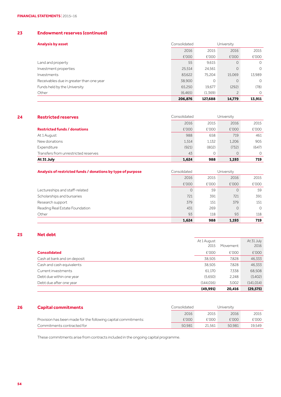#### **23 Endowment reserves (continued)**

| <b>Analysis by asset</b>                 | Consolidated | University |                |          |  |  |
|------------------------------------------|--------------|------------|----------------|----------|--|--|
|                                          | 2016         | 2015       | 2016           | 2015     |  |  |
|                                          | £'000        | £'000      | £'000          | £'000    |  |  |
| Land and property                        | 55           | 9.615      | $\circ$        | $\Omega$ |  |  |
| Investment properties                    | 25,514       | 24,561     | $\circ$        | 0        |  |  |
| Investments                              | 83,622       | 75.204     | 15.069         | 13.989   |  |  |
| Receivables due in greater than one year | 38,900       | $\circ$    | $\circ$        | $\Omega$ |  |  |
| Funds held by the University             | 65,250       | 19.677     | (292)          | (78)     |  |  |
| Other                                    | (6.465)      | (1,369)    | $\overline{c}$ | $\Omega$ |  |  |
|                                          | 206,876      | 127,688    | 14,779         | 13,911   |  |  |

#### **24 Restricted reserves Consolidated** University

| At 31 July                           | 1,624 | 988   | 1,193   | 719   |
|--------------------------------------|-------|-------|---------|-------|
| Transfers from unrestricted reserves | 43    |       | $\circ$ |       |
| Expenditure                          | (921) | (802) | (732)   | (647) |
| New donations                        | 1.514 | 1.132 | 1,206   | 905   |
| At 1 August                          | 988   | 658   | 719     | 461   |
| <b>Restricted funds / donations</b>  | £'000 | £'000 | £'000   | £'000 |
|                                      | 2016  | 2015  | 2016    | 2015  |

| Analysis of restricted funds / donations by type of purpose | Consolidated | University |         |          |  |
|-------------------------------------------------------------|--------------|------------|---------|----------|--|
|                                                             | 2016         | 2015       | 2016    | 2015     |  |
|                                                             | £'000        | £'000      | £'000   | £'000    |  |
| Lectureships and staff-related                              | $\Omega$     | 59         | $\circ$ | 59       |  |
| Scholarships and bursaries                                  | 721          | 391        | 721     | 391      |  |
| Research support                                            | 379          | 151        | 379     | 151      |  |
| Reading Real Estate Foundation                              | 431          | 269        | $\circ$ | $\Omega$ |  |
| Other                                                       | 93           | 118        | 93      | 118      |  |
|                                                             | 1,624        | 988        | 1,193   | 719      |  |

#### **25 Net debt**

|                             | (49, 991)   | 20,416   | (29, 575)  |
|-----------------------------|-------------|----------|------------|
| Debt due after one year     | (144.016)   | 3,002    | (141.014)  |
| Debt due within one year    | (5.650)     | 2,248    | (3,402)    |
| Current investments         | 61,170      | 7,338    | 68,508     |
| Cash and cash equivalents   | 38,505      | 7.828    | 46,333     |
| Cash at bank and on deposit | 38,505      | 7.828    | 46,333     |
| <b>Consolidated</b>         | £'000       | £'000    | £'000      |
|                             | 2015        | Movement | 2016       |
|                             | At 1 August |          | At 31 July |

| 26 | <b>Capital commitments</b>                                     | Consolidated |        | University |        |
|----|----------------------------------------------------------------|--------------|--------|------------|--------|
|    |                                                                | 2016         | 2015   | 2016       | 2015   |
|    | Provision has been made for the following capital commitments: | £'000        | f'000  | £'000      | £'000  |
|    | Commitments contracted for                                     | 50.981       | 21.561 | 50.981     | 19.549 |

These commitments arise from contracts included in the ongoing capital programme.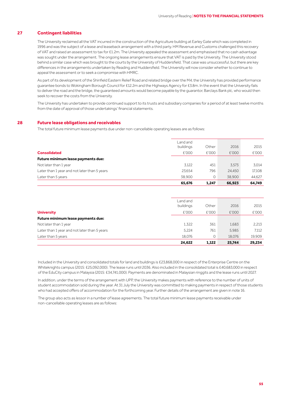#### **27 Contingent liabilities**

The University reclaimed all the VAT incurred in the construction of the Agriculture building at Earley Gate which was completed in 1996 and was the subject of a lease and leaseback arrangement with a third party. HM Revenue and Customs challenged this recovery of VAT and raised an assessment to tax for £1.2m. The University appealed the assessment and emphasised that no cash advantage was sought under the arrangement. The ongoing lease arrangements ensure that VAT is paid by the University. The University stood behind a similar case which was brought to the courts by the University of Huddersfield. That case was unsuccessful, but there are key differences in the arrangements undertaken by Reading and Huddersfield. The University will now consider whether to continue to appeal the assessment or to seek a compromise with HMRC. 

As part of its development of the Shinfield Eastern Relief Road and related bridge over the M4, the University has provided performance guarantee bonds to Wokingham Borough Council for £12.2m and the Highways Agency for £3.8m. In the event that the University fails to deliver the road and the bridge, the guaranteed amounts would become payable by the guarantor, Barclays Bank plc, who would then seek to recover the costs from the University. 

The University has undertaken to provide continued support to its trusts and subsidiary companies for a period of at least twelve months from the date of approval of those undertakings' financial statements. 

#### **28 Future lease obligations and receivables**

The total future minimum lease payments due under non-cancellable operating leases are as follows:

|                                              | 65,676                  | 1.247 | 66,923 | 64.749 |
|----------------------------------------------|-------------------------|-------|--------|--------|
| Later than 5 years                           | 38.900                  | 0     | 38.900 | 44,627 |
| Later than 1 year and not later than 5 years | 23.654                  | 796   | 24,450 | 17.108 |
| Not later than 1 year                        | 3.122                   | 451   | 3.573  | 3.014  |
| Future minimum lease payments due:           |                         |       |        |        |
| <b>Consolidated</b>                          | £'000                   | £'000 | £'000  | £'000  |
|                                              | Land and I<br>buildings | Other | 2016   | 2015   |

|                                              | Land and  |       |        |        |
|----------------------------------------------|-----------|-------|--------|--------|
|                                              | buildings | Other | 2016   | 2015   |
| <b>University</b>                            | £'000     | £'000 | £'000  | £'000  |
| Future minimum lease payments due:           |           |       |        |        |
| Not later than 1 year                        | 1.322     | 361   | 1,683  | 2.213  |
| Later than 1 year and not later than 5 years | 5,224     | 761   | 5.985  | 7.112  |
| Later than 5 years                           | 18,076    | 0     | 18.076 | 19,909 |
|                                              | 24,622    | 1,122 | 25.744 | 29,234 |

Included in the University and consolidated totals for land and buildings is £23,868,000 in respect of the Enterprise Centre on the Whiteknights campus (2015: £25,092,000). The lease runs until 2036. Also included in the consolidated total is £40,683,000 in respect of the EduCity campus in Malaysia (2015: £34,741,000). Payments are denominated in Malaysian ringgits and the lease runs until 2027. 

In addition, under the terms of the arrangement with UPP, the University makes payments with reference to the number of units of student accommodation sold during the year. At 31 July the University was committed to making payments in respect of those students who had accepted offers of accommodation for the forthcoming year. Further details of the arrangement are given in note 16. 

The group also acts as lessor in a number of lease agreements. The total future minimum lease payments receivable under non-cancellable operating leases are as follows: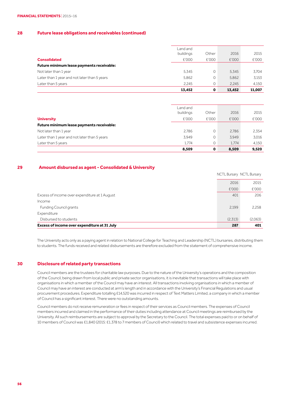#### **28 Future lease obligations and receivables (continued)**

|                                              | Land and  |       |        |        |
|----------------------------------------------|-----------|-------|--------|--------|
|                                              | buildings | Other | 2016   | 2015   |
| <b>Consolidated</b>                          | £'000     | £'000 | £'000  | £'000  |
| Future minimum lease payments receivable:    |           |       |        |        |
| Not later than 1 year                        | 5.345     | 0     | 5.345  | 3.704  |
| Later than 1 year and not later than 5 years | 5,862     | 0     | 5,862  | 3.153  |
| Later than 5 years                           | 2.245     | 0     | 2.245  | 4.150  |
|                                              | 13.452    | 0     | 13,452 | 11,007 |

|                                              | Land and<br>buildings | Other | 2016  | 2015  |
|----------------------------------------------|-----------------------|-------|-------|-------|
| <b>University</b>                            | £'000                 | £'000 | £'000 | £'000 |
| Future minimum lease payments receivable:    |                       |       |       |       |
| Not later than 1 year                        | 2.786                 | 0     | 2,786 | 2.354 |
| Later than 1 year and not later than 5 years | 3.949                 | 0     | 3.949 | 3.016 |
| Later than 5 years                           | 1.774                 | 0     | 1.774 | 4.150 |
|                                              | 8.509                 | о     | 8,509 | 9,520 |

#### **29 Amount disbursed as agent - Consolidated & University**

| Excess of income over expenditure at 31 July  | 287                       | 401     |
|-----------------------------------------------|---------------------------|---------|
| Disbursed to students                         | (2.313)                   | (2.063) |
| Expenditure                                   |                           |         |
| <b>Funding Council grants</b>                 | 2.199                     | 2.258   |
| Income                                        |                           |         |
| Excess of income over expenditure at 1 August | 401                       | 206     |
|                                               | £'000                     | £'000   |
|                                               | 2016                      | 2015    |
|                                               | NCTL Bursary NCTL Bursary |         |

The University acts only as a paying agent in relation to National College for Teaching and Leadership (NCTL) bursaries, distributing them to students. The funds received and related disbursements are therefore excluded from the statement of comprehensive income. 

#### **30 Disclosure of related party transactions**

Council members are the trustees for charitable law purposes. Due to the nature of the University's operations and the composition of the Council, being drawn from local public and private sector organisations, it is inevitable that transactions will take place with organisations in which a member of the Council may have an interest. All transactions involving organisations in which a member of Council may have an interest are conducted at arm's length and in accordance with the University's Financial Regulations and usual procurement procedures. Expenditure totalling £14,520 was incurred in respect of Text Matters Limited, a company in which a member of Council has a significant interest. There were no outstanding amounts. 

Council members do not receive remuneration or fees in respect of their services as Council members. The expenses of Council members incurred and claimed in the performance of their duties including attendance at Council meetings are reimbursed by the University. All such reimbursements are subject to approval by the Secretary to the Council. The total expenses paid to or on behalf of 10 members of Council was £1,840 (2015: £1,378 to 7 members of Council) which related to travel and subsistence expenses incurred.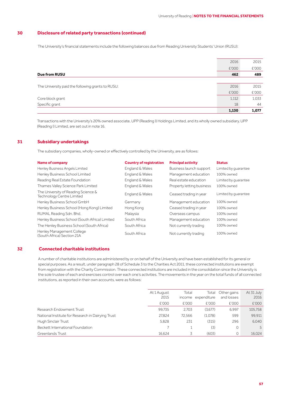#### **30 Disclosure of related party transactions (continued)**

The University's financial statements include the following balances due from Reading University Students' Union (RUSU):

|                                                   | 1,130 | 1,077 |
|---------------------------------------------------|-------|-------|
| Specific grant                                    | 18    | 44    |
| Core block grant                                  | 1,112 | 1.033 |
|                                                   | £'000 | £'000 |
| The University paid the following grants to RUSU: | 2016  | 2015  |
|                                                   |       |       |
| Due from RUSU                                     | 462   | 489   |
|                                                   | £'000 | £'000 |
|                                                   | 2016  | 2015  |
|                                                   |       |       |

Transactions with the University's 20% owned associate, UPP (Reading I) Holdings Limited, and its wholly owned subsidiary, UPP (Reading I) Limited, are set out in note 16. 

#### **31 Subsidiary undertakings**

The subsidiary companies, wholly-owned or effectively controlled by the University, are as follows:

| <b>Name of company</b>                                           | <b>Country of registration</b> | <b>Principal activity</b> | <b>Status</b>        |
|------------------------------------------------------------------|--------------------------------|---------------------------|----------------------|
| Henley Business Angels Limited                                   | England & Wales                | Business launch support   | Limited by guarantee |
| Henley Business School Limited                                   | England & Wales                | Management education      | 100% owned           |
| Reading Real Estate Foundation                                   | England & Wales                | Real estate education     | Limited by guarantee |
| Thames Valley Science Park Limited                               | England & Wales                | Property letting business | 100% owned           |
| The University of Reading Science &<br>Technology Centre Limited | England & Wales                | Ceased trading in year    | Limited by guarantee |
| Henley Business School GmbH                                      | Germany                        | Management education      | 100% owned           |
| Henley Business School (Hong Kong) Limited                       | Hong Kong                      | Ceased trading in year    | 100% owned           |
| RUMAL Reading Sdn. Bhd.                                          | Malaysia                       | Overseas campus           | 100% owned           |
| Henley Business School (South Africa) Limited                    | South Africa                   | Management education      | 100% owned           |
| The Henley Business School (South Africa)                        | South Africa                   | Not currently trading     | 100% owned           |
| Henley Management College<br>(South Africa) Section 21A          | South Africa                   | Not currently trading     | 100% owned           |

#### **32 Connected charitable institutions**

A number of charitable institutions are administered by or on behalf of the University and have been established for its general or special purposes. As a result, under paragraph 28 of Schedule 3 to the Charities Act 2011, these connected institutions are exempt from registration with the Charity Commission. These connected institutions are included in the consolidation since the University is the sole trustee of each and exercises control over each one's activities. The movements in the year on the total funds of all connected institutions, as reported in their own accounts, were as follows:

|                                                   | At 1 August<br>2015 | Total  | Total<br>income expenditure | Other gains<br>and losses | At 31 July<br>2016 |
|---------------------------------------------------|---------------------|--------|-----------------------------|---------------------------|--------------------|
|                                                   | £'000               | £'000  | £'000                       | £'000                     | £'000              |
| Research Endowment Trust                          | 99.735              | 2.703  | (3.677)                     | 6.997                     | 105,758            |
| National Institute for Research in Dairying Trust | 27.824              | 72.566 | (1.078)                     | 599                       | 99.911             |
| Hugh Sinclair Trust                               | 5.828               | 231    | (315)                       | 296                       | 6.040              |
| Beckett International Foundation                  |                     |        | (3)                         | $\circ$                   | 5                  |
| Greenlands Trust                                  | 16.624              |        | (603)                       | $\circ$                   | 16.024             |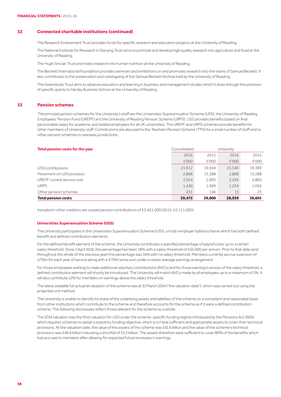#### **32 Connected charitable institutions (continued)**

The Research Endowment Trust provides funds for specific research and education projects at the University of Reading. 

The National Institute for Research in Dairying Trust aims to promote and develop high quality research into agriculture and food at the University of Reading. 

The Hugh Sinclair Trust promotes research into human nutrition at the University of Reading. 

The Beckett International Foundation provides seminars and exhibitions on and promotes research into the works of Samuel Beckett. It also contributes to the preservation and cataloguing of the Samuel Beckett Archive held by the University of Reading. 

The Greenlands Trust aims to advance education and learning in business and management studies which it does through the provision of specific grants to Henley Business School at the University of Reading. 

#### **33 Pension schemes**

The principal pension schemes for the University's staff are the Universities Superannuation Scheme (USS), the University of Reading Employees' Pension Fund (UREPF) and the University of Reading Pension Scheme (URPS). USS provides benefits based on final pensionable salary for academic and related employees for all UK universities. The UREPF and URPS schemes provide benefits for other members of University staff. Contributions are also paid to the Teachers Pension Scheme (TPS) for a small number of staff and to other pension schemes in overseas jurisdictions.

| Total pension costs for the year | Consolidated | University |        |        |  |
|----------------------------------|--------------|------------|--------|--------|--|
|                                  | 2016         | 2015       | 2016   | 2015   |  |
|                                  | £'000        | £'000      | £'000  | £'000  |  |
| USS contributions                | 21,812       | 19.604     | 21.540 | 19,369 |  |
| Movement on USS provision        | 2.868        | 15,288     | 2,868  | 15,288 |  |
| UREPF current service cost       | 3.324        | 2.893      | 3.292  | 2,865  |  |
| <b>URPS</b>                      | 1,240        | 1.069      | 1,224  | 1.056  |  |
| Other pension schemes            | 231          | 146        | 15     | 23     |  |
| <b>Total pension costs</b>       | 29,475       | 39,000     | 28,939 | 38,601 |  |

Included in other creditors are unpaid pension contributions of £2,451,000 (2015: £2,111,000).

#### **Universities Superannuation Scheme (USS)**

The University participates in the Universities Superannuation Scheme (USS), a multi-employer hybrid scheme which has both defined benefit and defined contribution elements. 

For the defined benefit element of the scheme, the University contributes a specified percentage of payroll costs up to a certain salary threshold. Since 1 April 2016, the percentage has been 18% with a salary threshold of £55,000 per annum. Prior to that date (and throughout the whole of the previous year) the percentage was 16% with no salary threshold. Members currently accrue a pension of 1/75th for each year of service along with a 3/75th lump sum under a career average earnings arrangement. 

For those employees wishing to make additional voluntary contributions (AVCs) and for those earning in excess of the salary threshold, a defined contribution element will shortly be introduced. The University will match AVCs made by all employees up to a maximum of 1%. It will also contribute 12% for members on earnings above the salary threshold. 

The latest available full actuarial valuation of the scheme was at 31 March 2014 ("the valuation date"), which was carried out using the projected unit method. 

The University is unable to identify its share of the underlying assets and liabilities of the scheme on a consistent and reasonable basis from other institutions which contribute to the scheme and therefore accounts for the scheme as if it were a defined contribution scheme. The following disclosures reflect those relevant for the scheme as a whole. 

The 2014 valuation was the third valuation for USS under the scheme-specific funding regime introduced by the Pensions Act 2004, which requires schemes to adopt a statutory funding objective, which is to have sufficient and appropriate assets to cover their technical provisions. At the valuation date, the value of the assets of the scheme was £41.6 billion and the value of the scheme's technical provisions was £46.9 billion indicating a shortfall of £5.3 billion. The assets therefore were sufficient to cover 89% of the benefits which had accrued to members after allowing for expected future increases in earnings.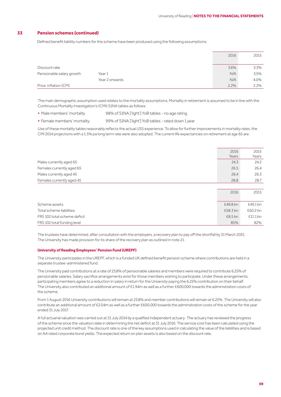#### **33 Pension schemes (continued)**

Defined benefit liability numbers for the scheme have been produced using the following assumptions:

|                           |                | 2016 | 2015    |
|---------------------------|----------------|------|---------|
| Discount rate             |                | 3.6% | 3.3%    |
| Pensionable salary growth | Year 1         | N/A  | 3.5%    |
|                           | Year 2 onwards | N/A  | 4.0%    |
| Price inflation (CPI)     |                | 2.2% | $2.2\%$ |

The main demographic assumption used relates to the mortality assumptions. Mortality in retirement is assumed to be in line with the Continuous Mortality Investigation's (CMI) S1NA tables as follows: 

- Male members' mortality 98% of S1NA ['light'] YoB tables no age rating
- Female members' mortality 99% of S1NA ['light'] YoB tables rated down 1 year

Use of these mortality tables reasonably reflects the actual USS experience. To allow for further improvements in mortality rates, the CMI 2014 projections with a 1.5% pa long term rate were also adopted. The current life expectancies on retirement at age 65 are: 

|                              | 2016     | 2015     |
|------------------------------|----------|----------|
|                              | Years    | Years    |
| Males currently aged 65      | 24.3     | 24.2     |
| Females currently aged 65    | 26.5     | 26.4     |
| Males currently aged 45      | 26.4     | 26.3     |
| Females currently aged 45    | 28.8     | 28.7     |
|                              |          |          |
|                              | 2016     | 2015     |
|                              |          |          |
| Scheme assets                | £49.8 bn | £49.1 bn |
| Total scheme liabilities     | £58.3 bn | £60.2 bn |
| FRS 102 total scheme deficit | £8.5 bn  | £11.1 bn |
| FRS 102 total funding level  | 85%      | 82%      |

The trustees have determined, after consultation with the employers, a recovery plan to pay off the shortfall by 31 March 2031. The University has made provision for its share of the recovery plan as outlined in note 21. 

#### **University of Reading Employees' Pension Fund (UREPF)**

The University participates in the UREPF, which is a funded UK defined benefit pension scheme where contributions are held in a separate trustee-administered fund. 

The University paid contributions at a rate of 23.8% of pensionable salaries and members were required to contribute 6.25% of pensionable salaries. Salary sacrifice arrangements exist for those members wishing to participate. Under these arrangements, participating members agree to a reduction in salary in return for the University paying the 6.25% contribution on their behalf. The University also contributed an additional amount of £1.94m as well as a further £600,000 towards the administration costs of the scheme. 

From 1 August 2016 University contributions will remain at 23.8% and member contributions will remain at 6.25%. The University will also contribute an additional amount of £2.04m as well as a further £600,000 towards the administration costs of the scheme for the year ended 31 July 2017. 

A full actuarial valuation was carried out at 31 July 2014 by a qualified independent actuary. The actuary has reviewed the progress of the scheme since the valuation date in determining the net deficit at 31 July 2016. The service cost has been calculated using the projected unit credit method. The discount rate is one of the key assumptions used in calculating the value of the liabilities and is based on AA rated corporate bond yields. The expected return on plan assets is also based on the discount rate.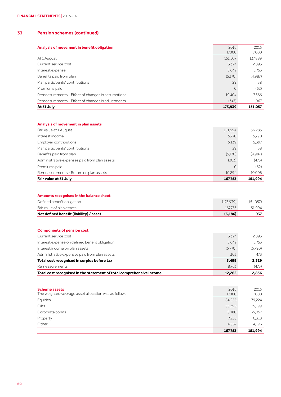#### **33 Pension schemes (continued)**

|                                                   | 2016    | 2015    |
|---------------------------------------------------|---------|---------|
| Analysis of movement in benefit obligation        |         |         |
|                                                   | £'000   | £'000   |
| At 1 August                                       | 151,057 | 137,889 |
| Current service cost                              | 3.324   | 2.893   |
| Interest expense                                  | 5.642   | 5.753   |
| Benefits paid from plan                           | (5.170) | (4,987) |
| Plan participants' contributions                  | 29      | 38      |
| Premiums paid                                     | $\circ$ | (62)    |
| Remeasurements - Effect of changes in assumptions | 19.404  | 7.566   |
| Remeasurements - Effect of changes in adjustments | (347)   | 1.967   |
| At 31 July                                        | 173,939 | 151,057 |

#### **Analysis of movement in plan assets**

| Fair value at 1 August                        | 151,994  | 136.285 |
|-----------------------------------------------|----------|---------|
| Interest income                               | 5.770    | 5.790   |
| Employer contributions                        | 5.139    | 5.397   |
| Plan participants' contributions              | 29       | 38      |
| Benefits paid from plan                       | (5.170)  | (4.987) |
| Administrative expenses paid from plan assets | (303)    | (473)   |
| Premiums paid                                 | $\Omega$ | (62)    |
| Remeasurements - Return on plan assets        | 10.294   | 10.006  |
| Fair value at 31 July                         | 167,753  | 151,994 |

#### **Amounts recognised in the balance sheet**

| Defined benefit obligation              | (173.939) | (151.057) |
|-----------------------------------------|-----------|-----------|
| Fair value of plan assets               | 167753    | 151.994   |
| Net defined benefit (liability) / asset | (6.186)   | 937       |

#### **Components of pension cost**

| Total cost recognised in the statement of total comprehensive income | 12.262  | 2,856   |
|----------------------------------------------------------------------|---------|---------|
| Remeasurements                                                       | 8.763   | (473)   |
| Total cost recognised in surplus before tax                          | 3,499   | 3,329   |
| Administrative expenses paid from plan assets                        | 303     | 473     |
| Interest income on plan assets                                       | (5.770) | (5.790) |
| Interest expense on defined benefit obligation                       | 5.642   | 5.753   |
| Current service cost                                                 | 3.324   | 2.893   |

| <b>Scheme assets</b><br>The weighted-average asset allocation was as follows: | 2016<br>£'000 | 2015<br>£'000 |
|-------------------------------------------------------------------------------|---------------|---------------|
| Equities                                                                      | 84,255        | 79.224        |
| Gilts                                                                         | 65,395        | 35,199        |
| Corporate bonds                                                               | 6.180         | 27,057        |
| Property                                                                      | 7,256         | 6.318         |
| Other                                                                         | 4,667         | 4.196         |
|                                                                               | 167,753       | 151,994       |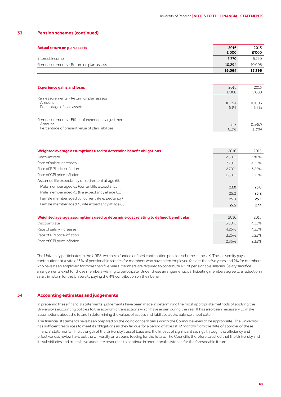#### **33 Pension schemes (continued)**

| Actual return on plan assets           | 2016   | 2015   |
|----------------------------------------|--------|--------|
|                                        | £'000  | £'000  |
| Interest income                        | 5,770  | 5.790  |
| Remeasurements - Return on plan assets | 10.294 | 10.006 |
|                                        | 16.064 | 15.796 |

| <b>Experience gains and loses</b>                                                                              | 2016<br>£'000  | 2015<br>£'000        |
|----------------------------------------------------------------------------------------------------------------|----------------|----------------------|
| Remeasurements - Return on plan assets<br>Amount<br>Percentage of plan assets                                  | 10.294<br>6.1% | 10.006<br>6.6%       |
| Remeasurements - Effect of experience adjustments<br>Amount<br>Percentage of present value of plan liabilities | 347<br>0.2%    | (1.967)<br>$(1.3\%)$ |

| Weighted average assumptions used to determine benefit obligations                   | 2016  | 2015  |
|--------------------------------------------------------------------------------------|-------|-------|
| Discount rate                                                                        | 2.60% | 3.80% |
| Rate of salary increases                                                             | 3.70% | 4.25% |
| Rate of RPI price inflation                                                          | 2.70% | 3.25% |
| Rate of CPI price inflation                                                          | 1.80% | 2.35% |
| Assumed life expectancy on retirement at age 65:                                     |       |       |
| Male member aged 65 (current life expectancy)                                        | 23.0  | 23.0  |
| Male member aged 45 (life expectancy at age 65)                                      | 25.2  | 25.2  |
| Female member aged 65 (current life expectancy)                                      | 25.3  | 25.1  |
| Female member aged 45 (life expectancy at age 65)                                    | 27.5  | 27.4  |
|                                                                                      |       |       |
| Weighted average assumptions used to determine cost relating to defined benefit plan | 2016  | 2015  |
| Discount rate                                                                        | 3.80% | 4.25% |
| Rate of salary increases                                                             | 4.25% | 4.25% |
| Rate of RPI price inflation                                                          | 3.25% | 3.25% |
| Rate of CPI price inflation                                                          | 2.35% | 2.35% |

The University participates in the URPS, which is a funded defined contribution pension scheme in the UK. The University pays contributions at a rate of 5% of pensionable salaries for members who have been employed for less than five years and 7% for members who have been employed for more than five years. Members are required to contribute 4% of pensionable salaries. Salary sacrifice arrangements exist for those members wishing to participate. Under these arrangements, participating members agree to a reduction in salary in return for the University paying the 4% contribution on their behalf.

#### **34 Accounting estimates and judgements**

In preparing these financial statements, judgements have been made in determining the most appropriate methods of applying the University's accounting policies to the economic transactions which have arisen during the year. It has also been necessary to make assumptions about the future in determining the values of assets and liabilities at the balance sheet date.

The financial statements have been prepared on the going concern basis which the Council believes to be appropriate. The University has sufficient resources to meet its obligations as they fall due for a period of at least 12 months from the date of approval of these financial statements. The strength of the University's asset base and the impact of significant savings through the efficiency and effectiveness review have put the University on a sound footing for the future. The Council is therefore satisfied that the University and its subsidiaries and trusts have adequate resources to continue in operational existence for the foreseeable future.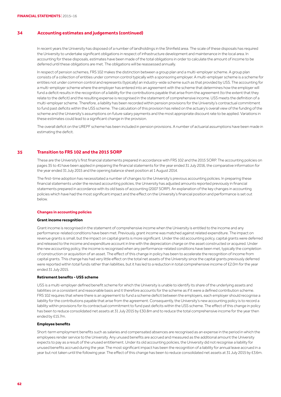#### **34 Accounting estimates and judgements (continued)**

In recent years the University has disposed of a number of landholdings in the Shinfield area. The scale of these disposals has required the University to undertake significant obligations in respect of infrastructure development and maintenance in the local area. In accounting for these disposals, estimates have been made of the total obligations in order to calculate the amount of income to be deferred until these obligations are met. The obligations will be reassessed annually. 

In respect of pension schemes, FRS 102 makes the distinction between a group plan and a multi-employer scheme. A group plan consists of a collection of entities under common control typically with a sponsoring employer. A multi-employer scheme is a scheme for entities not under common control and represents (typically) an industry-wide scheme such as that provided by USS. The accounting for a multi-employer scheme where the employer has entered into an agreement with the scheme that determines how the employer will fund a deficit results in the recognition of a liability for the contributions payable that arise from the agreement (to the extent that they relate to the deficit) and the resulting expense is recognised in the statement of comprehensive income. USS meets the definition of a multi-employer scheme. Therefore, a liability has been recorded within pension provisions for the University's contractual commitment to fund past deficits within the USS scheme. The calculation of this provision has relied on the actuary's overall view of the funding of the scheme and the University's assumptions on future salary payments and the most appropriate discount rate to be applied. Variations in these estimates could lead to a significant change in the provision. 

The overall deficit on the UREPF scheme has been included in pension provisions. A number of actuarial assumptions have been made in estimating the deficit. 

#### **Transition to FRS 102 and the 2015 SORP 35**

These are the University's first financial statements prepared in accordance with FRS 102 and the 2015 SORP. The accounting policies on pages 35 to 41 have been applied in preparing the financial statements for the year ended 31 July 2016, the comparative information for the year ended 31 July 2015 and the opening balance sheet position at 1 August 2014.

The first-time adoption has necessitated a number of changes to the University's previous accounting policies. In preparing these financial statements under the revised accounting policies, the University has adjusted amounts reported previously in financial statements prepared in accordance with its old basis of accounting (2007 SORP). An explanation of the key changes in accounting policies which have had the most significant impact and the effect on the University's financial position and performance is set out below. The contract of the contract of the contract of the contract of the contract of the contract of the contract of the contract of the contract of the contract of the contract of the contract of the contract of the con

#### **Changes in accounting policies**

#### **Grant income recognition**

Grant income is recognised in the statement of comprehensive income when the University is entitled to the income and any performance-related conditions have been met. Previously, grant income was matched against related expenditure. The impact on revenue grants is small, but the impact on capital grants is more significant. Under the old accounting policy, capital grants were deferred and released to the income and expenditure account in line with the depreciation charge on the asset constructed or acquired. Under the new accounting policy, the income is recognised when any performance-related conditions have been met, typically the completion of construction or acquisition of an asset. The effect of this change in policy has been to accelerate the recognition of income from capital grants. This change has had very little effect on the total net assets of the University since the capital grants previously deferred were reported within total funds rather than liabilities, but it has led to a reduction in total comprehensive income of £2.0m for the year ended 31 July 2015. 

#### **Retirement benefits - USS scheme**

USS is a multi-employer defined benefit scheme for which the University is unable to identify its share of the underlying assets and liabilities on a consistent and reasonable basis and it therefore accounts for the scheme as if it were a defined contribution scheme. FRS 102 requires that where there is an agreement to fund a scheme deficit between the employers, each employer should recognise a liability for the contributions payable that arise from the agreement. Consequently, the University's new accounting policy is to record a liability within provisions for its contractual commitment to fund past deficits within the USS scheme. The effect of this change in policy has been to reduce consolidated net assets at 31 July 2015 by £30.8m and to reduce the total comprehensive income for the year then ended by £15.7m. 

#### **Employee benefits**

Short-term employment benefits such as salaries and compensated absences are recognised as an expense in the period in which the employees render service to the University. Any unused benefits are accrued and measured as the additional amount the University expects to pay as a result of the unused entitlement. Under its old accounting policies, the University did not recognise a liability for unused benefits accrued during the year. The most significant impact has been the recognition of a liability for annual leave accrued in a year but not taken until the following year. The effect of this change has been to reduce consolidated net assets at 31 July 2015 by £3.6m.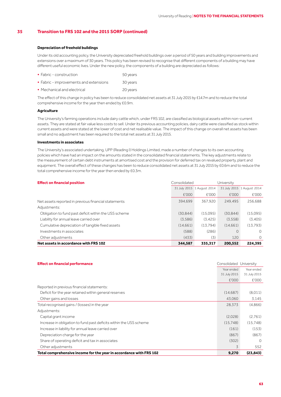#### **35 Transition to FRS 102 and the 2015 SORP (continued)**

#### **Depreciation of freehold buildings**

Under its old accounting policy, the University depreciated freehold buildings over a period of 50 years and building improvements and extensions over a maximum of 30 years. This policy has been revised to recognise that different components of a building may have different useful economic lives. Under the new policy, the components of a building are depreciated as follows: 

| • Fabric - construction | 50 years |
|-------------------------|----------|
|-------------------------|----------|

- Fabric improvements and extensions 30 years
- Mechanical and electrical 20 years

The effect of this change in policy has been to reduce consolidated net assets at 31 July 2015 by £14.7m and to reduce the total comprehensive income for the year then ended by £0.9m. 

#### **Agriculture**

The University's farming operations include dairy cattle which, under FRS 102, are classified as biological assets within non-current assets. They are stated at fair value less costs to sell. Under its previous accounting policies, dairy cattle were classified as stock within current assets and were stated at the lower of cost and net realisable value. The impact of this change on overall net assets has been small and no adjustment has been required to the total net assets at 31 July 2015. 

#### **Investments in associates**

The University's associated undertaking, UPP (Reading I) Holdings Limited, made a number of changes to its own accounting policies which have had an impact on the amounts stated in the consolidated financial statements. The key adjustments relate to the measurement of certain debt instruments at amortised cost and the provision for deferred tax on revalued property, plant and equipment. The overall effect of these changes has been to reduce consolidated net assets at 31 July 2015 by £0.6m and to reduce the total comprehensive income for the year then ended by £0.3m. 

| <b>Effect on financial position</b>                   | Consolidated |                            | University |                            |
|-------------------------------------------------------|--------------|----------------------------|------------|----------------------------|
|                                                       |              | 31 July 2015 1 August 2014 |            | 31 July 2015 1 August 2014 |
|                                                       | £'000        | £'000                      | £'000      | £'000                      |
| Net assets reported in previous financial statements  | 394.699      | 367.920                    | 249.495    | 256.688                    |
| Adjustments:                                          |              |                            |            |                            |
| Obligation to fund past deficit within the USS scheme | (30.844)     | (15.095)                   | (30.844)   | (15,095)                   |
| Liability for annual leave carried over               | (3.586)      | (3.425)                    | (3.558)    | (3,405)                    |
| Cumulative depreciation of tangible fixed assets      | (14.661)     | (13.794)                   | (14.661)   | (13, 793)                  |
| Investments in associates                             | (588)        | (286)                      | 0          | $\Omega$                   |
| Other adjustments                                     | (433)        | (3)                        | 120        | $\circ$                    |
| Net assets in accordance with FRS 102                 | 344.587      | 335,317                    | 200,552    | 224,395                    |

| <b>Effect on financial performance</b>                             | Consolidated University |              |
|--------------------------------------------------------------------|-------------------------|--------------|
|                                                                    | Year ended              | Year ended   |
|                                                                    | 31 July 2015            | 31 July 2015 |
|                                                                    | £'000                   | £'000        |
| Reported in previous financial statements:                         |                         |              |
| Deficit for the year retained within general reserves              | (14.687)                | (8.011)      |
| Other gains and losses                                             | 43,060                  | 3.145        |
| Total recognised gains / (losses) in the year                      | 28,373                  | (4,866)      |
| Adjustments:                                                       |                         |              |
| Capital grant income                                               | (2.028)                 | (2.761)      |
| Increase in obligation to fund past deficits within the USS scheme | (15.748)                | (15.748)     |
| Increase in liability for annual leave carried over                | (161)                   | (153)        |
| Depreciation charge for the year                                   | (867)                   | (867)        |
| Share of operating deficit and tax in associates                   | (302)                   | $\Omega$     |
| Other adjustments                                                  | 3                       | 552          |
| Total comprehensive income for the year in accordance with FRS 102 | 9,270                   | (23, 843)    |